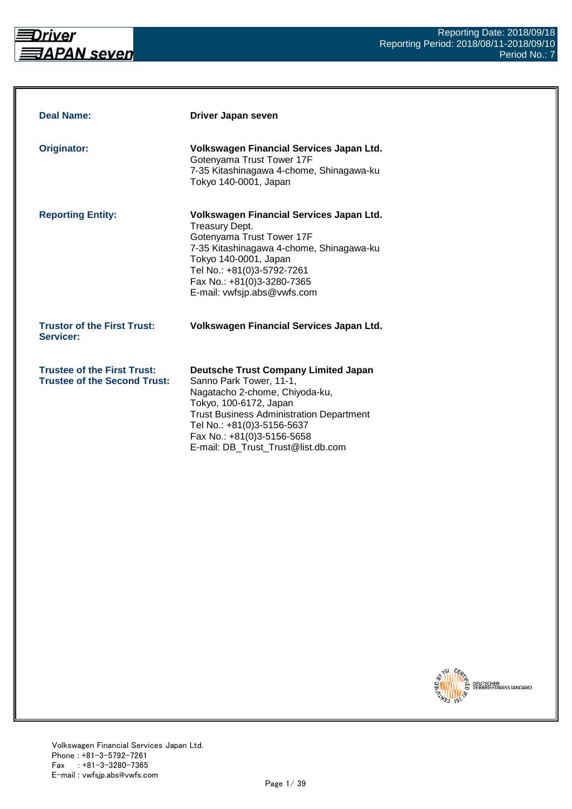

| <b>Deal Name:</b>                                                         | Driver Japan seven                                                                                                                                                                                                                                                                      |
|---------------------------------------------------------------------------|-----------------------------------------------------------------------------------------------------------------------------------------------------------------------------------------------------------------------------------------------------------------------------------------|
| <b>Originator:</b>                                                        | Volkswagen Financial Services Japan Ltd.<br>Gotenyama Trust Tower 17F<br>7-35 Kitashinagawa 4-chome, Shinagawa-ku<br>Tokyo 140-0001, Japan                                                                                                                                              |
| <b>Reporting Entity:</b>                                                  | Volkswagen Financial Services Japan Ltd.<br>Treasury Dept.<br>Gotenyama Trust Tower 17F<br>7-35 Kitashinagawa 4-chome, Shinagawa-ku<br>Tokyo 140-0001, Japan<br>Tel No.: +81(0)3-5792-7261<br>Fax No.: +81(0)3-3280-7365<br>E-mail: vwfsjp.abs@vwfs.com                                 |
| <b>Trustor of the First Trust:</b><br>Servicer:                           | Volkswagen Financial Services Japan Ltd.                                                                                                                                                                                                                                                |
| <b>Trustee of the First Trust:</b><br><b>Trustee of the Second Trust:</b> | <b>Deutsche Trust Company Limited Japan</b><br>Sanno Park Tower, 11-1,<br>Nagatacho 2-chome, Chiyoda-ku,<br>Tokyo, 100-6172, Japan<br><b>Trust Business Administration Department</b><br>Tel No.: +81(0)3-5156-5637<br>Fax No.: +81(0)3-5156-5658<br>E-mail: DB_Trust_Trust@list.db.com |

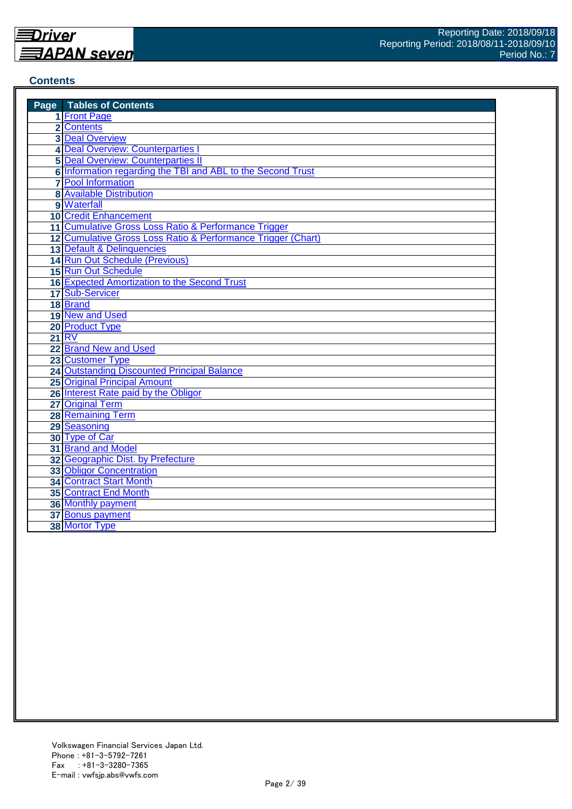#### **Contents**

| <b>Page</b> Tables of Contents                                 |
|----------------------------------------------------------------|
| 1 Front Page                                                   |
| 2 Contents                                                     |
| <b>3 Deal Overview</b>                                         |
| 4 Deal Overview: Counterparties I                              |
| <b>5 Deal Overview: Counterparties II</b>                      |
| 6 Information regarding the TBI and ABL to the Second Trust    |
| <b>7</b> Pool Information                                      |
| <b>8</b> Available Distribution                                |
| 9 Waterfall                                                    |
| <b>10 Credit Enhancement</b>                                   |
| 11 Cumulative Gross Loss Ratio & Performance Trigger           |
| 12 Cumulative Gross Loss Ratio & Performance Trigger (Chart)   |
| 13 Default & Delinquencies                                     |
| 14 Run Out Schedule (Previous)                                 |
| 15 Run Out Schedule                                            |
| 16 Expected Amortization to the Second Trust                   |
| 17 Sub-Servicer                                                |
| 18 Brand                                                       |
| 19 New and Used                                                |
| 20 Product Type                                                |
| 21 RV                                                          |
| 22 Brand New and Used                                          |
| 23 Customer Type                                               |
| 24 Outstanding Discounted Principal Balance                    |
| <b>25 Original Principal Amount</b>                            |
| 26 Interest Rate paid by the Obligor                           |
| 27 Original Term                                               |
| <b>28 Remaining Term</b>                                       |
| 29 Seasoning                                                   |
| 30 Type of Car                                                 |
| 31 Brand and Model                                             |
| 32 Geographic Dist. by Prefecture                              |
| <b>33 Obligor Concentration</b>                                |
| <b>34 Contract Start Month</b><br><b>35 Contract End Month</b> |
|                                                                |
| <b>36 Monthly payment</b>                                      |
| 37 Bonus payment                                               |
| 38 Mortor Type                                                 |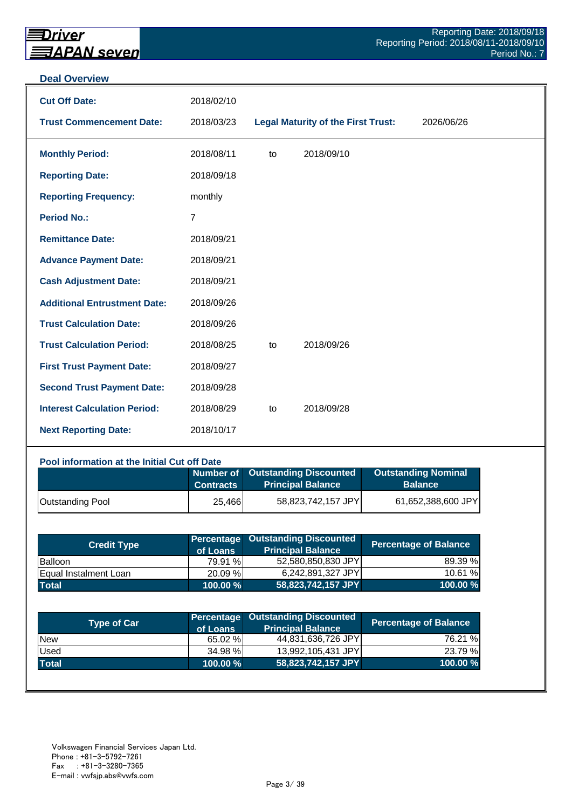#### **Deal Overview**

| <b>Cut Off Date:</b>                | 2018/02/10     |    |                                           |            |
|-------------------------------------|----------------|----|-------------------------------------------|------------|
| <b>Trust Commencement Date:</b>     | 2018/03/23     |    | <b>Legal Maturity of the First Trust:</b> | 2026/06/26 |
| <b>Monthly Period:</b>              | 2018/08/11     | to | 2018/09/10                                |            |
| <b>Reporting Date:</b>              | 2018/09/18     |    |                                           |            |
| <b>Reporting Frequency:</b>         | monthly        |    |                                           |            |
| <b>Period No.:</b>                  | $\overline{7}$ |    |                                           |            |
| <b>Remittance Date:</b>             | 2018/09/21     |    |                                           |            |
| <b>Advance Payment Date:</b>        | 2018/09/21     |    |                                           |            |
| <b>Cash Adjustment Date:</b>        | 2018/09/21     |    |                                           |            |
| <b>Additional Entrustment Date:</b> | 2018/09/26     |    |                                           |            |
| <b>Trust Calculation Date:</b>      | 2018/09/26     |    |                                           |            |
| <b>Trust Calculation Period:</b>    | 2018/08/25     | to | 2018/09/26                                |            |
| <b>First Trust Payment Date:</b>    | 2018/09/27     |    |                                           |            |
| <b>Second Trust Payment Date:</b>   | 2018/09/28     |    |                                           |            |
| <b>Interest Calculation Period:</b> | 2018/08/29     | to | 2018/09/28                                |            |
| <b>Next Reporting Date:</b>         | 2018/10/17     |    |                                           |            |

## **Pool information at the Initial Cut off Date**

|                         | <b>Contracts</b> | Number of Outstanding Discounted<br><b>Principal Balance</b> | <b>Outstanding Nominal</b><br><b>Balance</b> |
|-------------------------|------------------|--------------------------------------------------------------|----------------------------------------------|
| <b>Outstanding Pool</b> | 25,466           | 58,823,742,157 JPY                                           | 61,652,388,600 JPY                           |

| <b>Credit Type</b>           | of Loans   | <b>Percentage Outstanding Discounted</b><br><b>Principal Balance</b> | <b>Percentage of Balance</b> |
|------------------------------|------------|----------------------------------------------------------------------|------------------------------|
| Balloon                      | 79.91 %    | 52,580,850,830 JPY                                                   | 89.39 %                      |
| <b>Equal Instalment Loan</b> | 20.09 %    | 6,242,891,327 JPY                                                    | 10.61 %                      |
| <b>Total</b>                 | 100.00 % \ | 58,823,742,157 JPY                                                   | 100.00 %                     |

| <b>Type of Car</b> | of Loans | <b>Percentage Outstanding Discounted</b><br><b>Principal Balance</b> | <b>Percentage of Balance</b> |
|--------------------|----------|----------------------------------------------------------------------|------------------------------|
| <b>New</b>         | 65.02 %  | 44,831,636,726 JPY                                                   | 76.21 %                      |
| Used               | 34.98 %  | 13,992,105,431 JPY                                                   | 23.79 %                      |
| <b>Total</b>       | 100.00 % | 58,823,742,157 JPY                                                   | 100.00 $%$                   |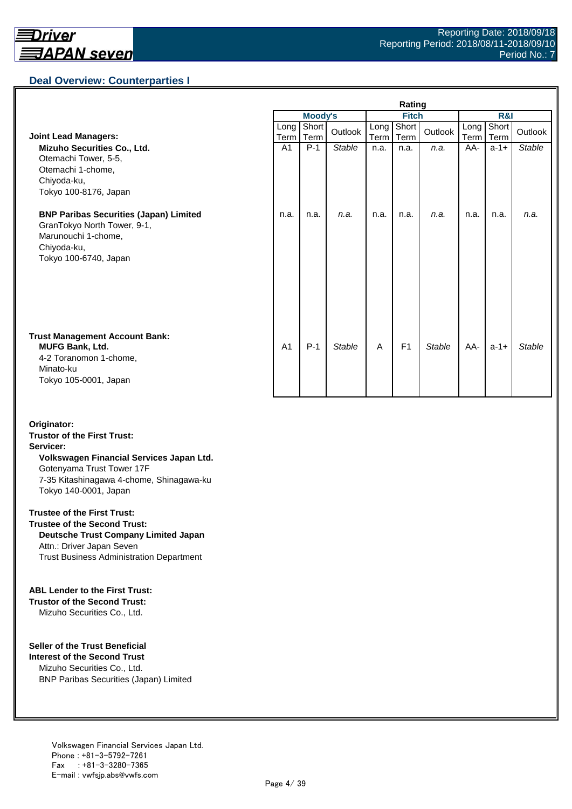## **Deal Overview: Counterparties I**

|                                                                                                                                             | Rating         |                |               |              |                |               |              |               |               |
|---------------------------------------------------------------------------------------------------------------------------------------------|----------------|----------------|---------------|--------------|----------------|---------------|--------------|---------------|---------------|
|                                                                                                                                             |                | <b>Moody's</b> |               | <b>Fitch</b> |                |               | R&I          |               |               |
| <b>Joint Lead Managers:</b>                                                                                                                 | Long<br>Term   | Short<br>Term  | Outlook       | Long<br>Term | Short<br>Term  | Outlook       | Long<br>Term | Short<br>Term | Outlook       |
| Mizuho Securities Co., Ltd.<br>Otemachi Tower, 5-5,<br>Otemachi 1-chome,<br>Chiyoda-ku,<br>Tokyo 100-8176, Japan                            | A <sub>1</sub> | $P-1$          | <b>Stable</b> | n.a.         | n.a.           | n.a.          | AA-          | $a-1+$        | <b>Stable</b> |
| <b>BNP Paribas Securities (Japan) Limited</b><br>GranTokyo North Tower, 9-1,<br>Marunouchi 1-chome,<br>Chiyoda-ku,<br>Tokyo 100-6740, Japan | n.a.           | n.a.           | n.a.          | n.a.         | n.a.           | n.a.          | n.a.         | n.a.          | n.a.          |
| <b>Trust Management Account Bank:</b><br><b>MUFG Bank, Ltd.</b><br>4-2 Toranomon 1-chome,<br>Minato-ku<br>Tokyo 105-0001, Japan             | A <sub>1</sub> | $P-1$          | <b>Stable</b> | A            | F <sub>1</sub> | <b>Stable</b> | AA-          | $a-1+$        | <b>Stable</b> |

#### **Originator: Trustor of the First Trust: Servicer: Volkswagen Financial Services Japan Ltd.** Gotenyama Trust Tower 17F 7-35 Kitashinagawa 4-chome, Shinagawa-ku Tokyo 140-0001, Japan

#### **Trustee of the First Trust:**

**Trustee of the Second Trust: Deutsche Trust Company Limited Japan** Attn.: Driver Japan Seven Trust Business Administration Department

#### **ABL Lender to the First Trust:**

**Trustor of the Second Trust:** Mizuho Securities Co., Ltd.

#### **Seller of the Trust Beneficial**

**Interest of the Second Trust** Mizuho Securities Co., Ltd. BNP Paribas Securities (Japan) Limited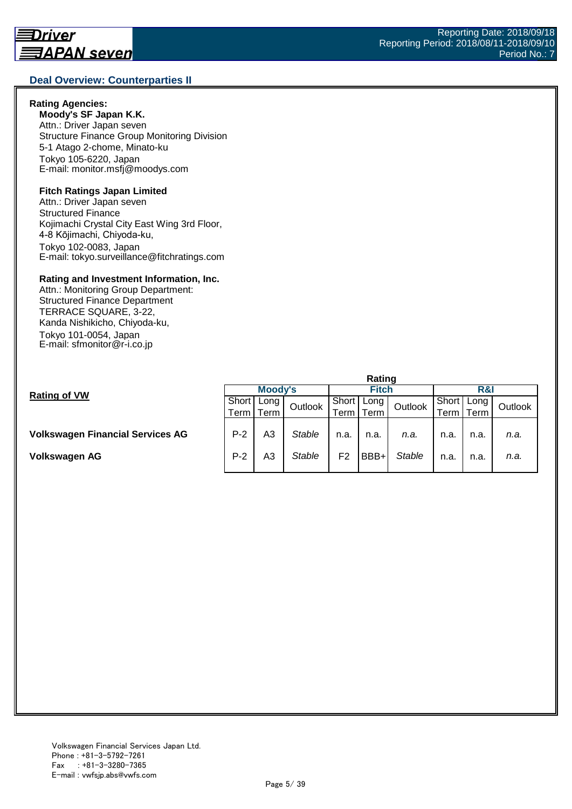#### **Deal Overview: Counterparties II**

#### **Rating Agencies:**

**Moody's SF Japan K.K.** Attn.: Driver Japan seven Structure Finance Group Monitoring Division 5-1 Atago 2-chome, Minato-ku Tokyo 105-6220, Japan E-mail: monitor.msfj@moodys.com

#### **Fitch Ratings Japan Limited**

Attn.: Driver Japan seven Structured Finance Kojimachi Crystal City East Wing 3rd Floor, 4-8 Kōjimachi, Chiyoda-ku, Tokyo 102-0083, Japan E-mail: tokyo.surveillance@fitchratings.com

#### **Rating and Investment Information, Inc.**

Attn.: Monitoring Group Department: Structured Finance Department TERRACE SQUARE, 3-22, Kanda Nishikicho, Chiyoda-ku, Tokyo 101-0054, Japan E-mail: sfmonitor@r-i.co.jp

|                                         | Rating  |      |               |                |      |               |       |      |         |  |
|-----------------------------------------|---------|------|---------------|----------------|------|---------------|-------|------|---------|--|
| <b>Rating of VW</b>                     | Moody's |      |               | Fitch          |      |               | R&I   |      |         |  |
|                                         | Short   | Long | Outlook       | Short          | Long | Outlook       | Short | Long | Outlook |  |
|                                         | Term    | Term |               | Term           | Term |               | erm   | Term |         |  |
|                                         |         |      |               |                |      |               |       |      |         |  |
| <b>Volkswagen Financial Services AG</b> | $P-2$   | A3   | <b>Stable</b> | n.a.           | n.a. | n.a.          | n.a.  | n.a. | n.a.    |  |
|                                         |         |      |               |                |      |               |       |      |         |  |
| Volkswagen AG                           | $P-2$   | A3   | <b>Stable</b> | F <sub>2</sub> | BBB+ | <b>Stable</b> | n.a.  | n.a. | n.a.    |  |
|                                         |         |      |               |                |      |               |       |      |         |  |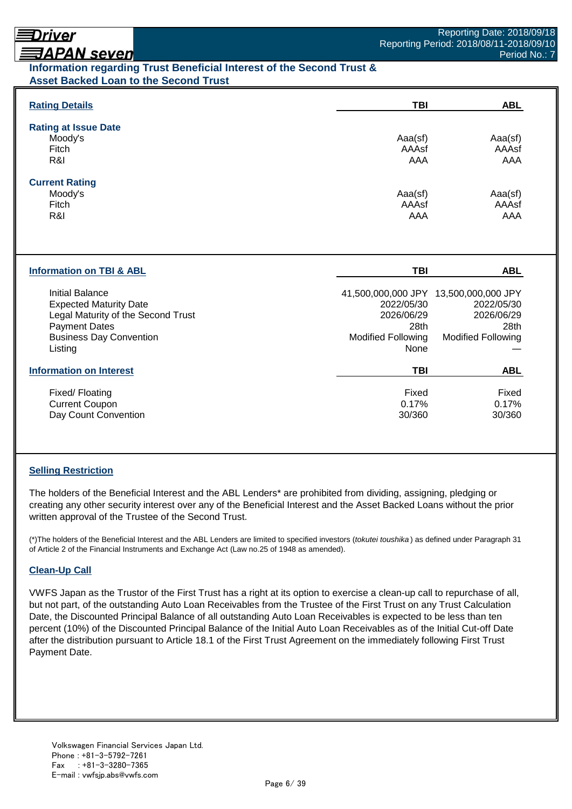# Driver

# **ヨAPAN seven**

## **Information regarding Trust Beneficial Interest of the Second Trust & Asset Backed Loan to the Second Trust**

| <b>Rating Details</b>                                   | <b>TBI</b>                | <b>ABL</b>                                          |
|---------------------------------------------------------|---------------------------|-----------------------------------------------------|
| <b>Rating at Issue Date</b>                             |                           |                                                     |
| Moody's<br>Fitch                                        | Aaa(sf)<br>AAAsf          | Aaa(sf)<br>AAAsf                                    |
| R&I                                                     | <b>AAA</b>                | AAA                                                 |
|                                                         |                           |                                                     |
| <b>Current Rating</b>                                   |                           |                                                     |
| Moody's<br>Fitch                                        | Aaa(sf)<br>AAAsf          | Aaa(sf)<br>AAAsf                                    |
| R&I                                                     | AAA                       | AAA                                                 |
| <b>Information on TBI &amp; ABL</b>                     | <b>TBI</b>                | <b>ABL</b>                                          |
|                                                         |                           |                                                     |
| <b>Initial Balance</b><br><b>Expected Maturity Date</b> | 2022/05/30                | 41,500,000,000 JPY 13,500,000,000 JPY<br>2022/05/30 |
| Legal Maturity of the Second Trust                      | 2026/06/29                | 2026/06/29                                          |
| <b>Payment Dates</b>                                    | 28th                      | 28th                                                |
| <b>Business Day Convention</b>                          | <b>Modified Following</b> | <b>Modified Following</b>                           |
| Listing                                                 | None                      |                                                     |
| <b>Information on Interest</b>                          | <b>TBI</b>                | <b>ABL</b>                                          |
| Fixed/Floating                                          | Fixed                     | Fixed                                               |
| <b>Current Coupon</b>                                   | 0.17%                     | 0.17%                                               |
| Day Count Convention                                    | 30/360                    | 30/360                                              |

## **Selling Restriction**

The holders of the Beneficial Interest and the ABL Lenders\* are prohibited from dividing, assigning, pledging or creating any other security interest over any of the Beneficial Interest and the Asset Backed Loans without the prior written approval of the Trustee of the Second Trust.

(\*)The holders of the Beneficial Interest and the ABL Lenders are limited to specified investors (*tokutei toushika* ) as defined under Paragraph 31 of Article 2 of the Financial Instruments and Exchange Act (Law no.25 of 1948 as amended).

#### **Clean-Up Call**

VWFS Japan as the Trustor of the First Trust has a right at its option to exercise a clean-up call to repurchase of all, but not part, of the outstanding Auto Loan Receivables from the Trustee of the First Trust on any Trust Calculation Date, the Discounted Principal Balance of all outstanding Auto Loan Receivables is expected to be less than ten percent (10%) of the Discounted Principal Balance of the Initial Auto Loan Receivables as of the Initial Cut-off Date after the distribution pursuant to Article 18.1 of the First Trust Agreement on the immediately following First Trust Payment Date.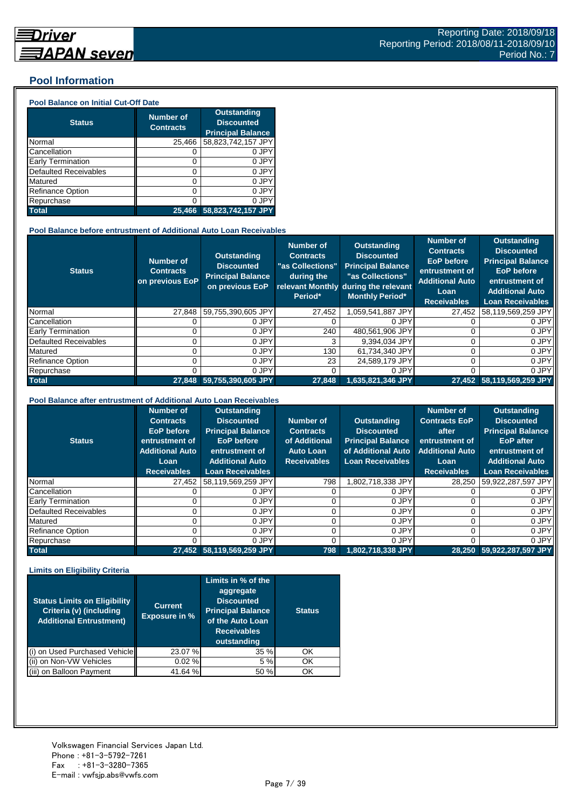## **Pool Information**

#### **Pool Balance on Initial Cut-Off Date**

| <b>Status</b>                | <b>Number of</b><br><b>Contracts</b> | <b>Outstanding</b><br><b>Discounted</b><br><b>Principal Balance</b> |
|------------------------------|--------------------------------------|---------------------------------------------------------------------|
| Normal                       | 25,466                               | 58,823,742,157 JPY                                                  |
| Cancellation                 | O                                    | 0 JPY                                                               |
| Early Termination            | 0                                    | 0 JPY                                                               |
| <b>Defaulted Receivables</b> | 0                                    | 0 JPY                                                               |
| Matured                      | ი                                    | 0 JPY                                                               |
| <b>Refinance Option</b>      | ი                                    | 0 JPY                                                               |
| Repurchase                   | ი                                    | 0 JPY                                                               |
| <b>Total</b>                 | 25.466                               | 58,823,742,157 JPY                                                  |

#### **Pool Balance before entrustment of Additional Auto Loan Receivables**

| <b>Status</b>                | <b>Number of</b><br><b>Contracts</b><br>on previous EoP | <b>Outstanding</b><br><b>Discounted</b><br><b>Principal Balance</b><br>on previous EoP | <b>Number of</b><br><b>Contracts</b><br>"as Collections"<br>during the<br>Period* | <b>Outstanding</b><br><b>Discounted</b><br><b>Principal Balance</b><br>"as Collections"<br>relevant Monthly during the relevant<br><b>Monthly Period*</b> | <b>Number of</b><br><b>Contracts</b><br><b>EoP</b> before<br>entrustment of<br><b>Additional Auto</b><br>Loan<br><b>Receivables</b> | <b>Outstanding</b><br><b>Discounted</b><br><b>Principal Balance</b><br><b>EoP</b> before<br>entrustment of<br><b>Additional Auto</b><br><b>Loan Receivables</b> |
|------------------------------|---------------------------------------------------------|----------------------------------------------------------------------------------------|-----------------------------------------------------------------------------------|-----------------------------------------------------------------------------------------------------------------------------------------------------------|-------------------------------------------------------------------------------------------------------------------------------------|-----------------------------------------------------------------------------------------------------------------------------------------------------------------|
| Normal                       | 27.848                                                  | 59,755,390,605 JPY                                                                     | 27,452                                                                            | 1,059,541,887 JPY                                                                                                                                         | 27,452                                                                                                                              | 58,119,569,259 JPY                                                                                                                                              |
| Cancellation                 |                                                         | 0 JPY                                                                                  |                                                                                   | 0 JPY                                                                                                                                                     |                                                                                                                                     | 0 JPY                                                                                                                                                           |
| <b>Early Termination</b>     |                                                         | 0 JPY                                                                                  | 240                                                                               | 480.561.906 JPY                                                                                                                                           |                                                                                                                                     | 0 JPY                                                                                                                                                           |
| <b>Defaulted Receivables</b> |                                                         | 0 JPY                                                                                  | 3                                                                                 | 9,394,034 JPY                                                                                                                                             | 0                                                                                                                                   | 0 JPY                                                                                                                                                           |
| Matured                      |                                                         | 0 JPY                                                                                  | 130                                                                               | 61,734,340 JPY                                                                                                                                            |                                                                                                                                     | 0 JPY                                                                                                                                                           |
| <b>Refinance Option</b>      |                                                         | 0 JPY                                                                                  | 23                                                                                | 24.589.179 JPY                                                                                                                                            | Ω                                                                                                                                   | 0 JPY                                                                                                                                                           |
| Repurchase                   |                                                         | 0 JPY                                                                                  |                                                                                   | 0 JPY                                                                                                                                                     | Ω                                                                                                                                   | 0 JPY                                                                                                                                                           |
| <b>Total</b>                 | 27.848                                                  | $59,755,390,605$ JPY                                                                   | 27.848                                                                            | 1.635.821.346 JPY                                                                                                                                         |                                                                                                                                     | 27,452 58,119,569,259 JPY                                                                                                                                       |

#### **Pool Balance after entrustment of Additional Auto Loan Receivables**

| <b>Status</b>            | <b>Number of</b><br><b>Contracts</b><br><b>EoP</b> before<br>entrustment of<br><b>Additional Auto</b><br>Loan<br><b>Receivables</b> | <b>Outstanding</b><br><b>Discounted</b><br><b>Principal Balance</b><br><b>EoP</b> before<br>entrustment of<br><b>Additional Auto</b><br><b>Loan Receivables</b> | Number of<br><b>Contracts</b><br>of Additional<br><b>Auto Loan</b><br><b>Receivables</b> | <b>Outstanding</b><br><b>Discounted</b><br><b>Principal Balance</b><br>of Additional Auto<br><b>Loan Receivables</b> | <b>Number of</b><br><b>Contracts EoP</b><br>after<br>entrustment of<br><b>Additional Auto</b><br>Loan<br><b>Receivables</b> | <b>Outstanding</b><br><b>Discounted</b><br><b>Principal Balance</b><br><b>EoP</b> after<br>entrustment of<br><b>Additional Auto</b><br><b>Loan Receivables</b> |
|--------------------------|-------------------------------------------------------------------------------------------------------------------------------------|-----------------------------------------------------------------------------------------------------------------------------------------------------------------|------------------------------------------------------------------------------------------|----------------------------------------------------------------------------------------------------------------------|-----------------------------------------------------------------------------------------------------------------------------|----------------------------------------------------------------------------------------------------------------------------------------------------------------|
| Normal                   | 27.452                                                                                                                              | 58,119,569,259 JPY                                                                                                                                              | 798                                                                                      | J.802,718,338 JPY                                                                                                    | 28.250                                                                                                                      | 59,922,287,597 JPY                                                                                                                                             |
| Cancellation             |                                                                                                                                     | 0 JPY                                                                                                                                                           |                                                                                          | 0 JPY                                                                                                                |                                                                                                                             | 0 JPY                                                                                                                                                          |
| <b>Early Termination</b> |                                                                                                                                     | 0 JPY                                                                                                                                                           |                                                                                          | 0 JPY                                                                                                                |                                                                                                                             | 0 JPY                                                                                                                                                          |
| Defaulted Receivables    |                                                                                                                                     | 0 JPY                                                                                                                                                           |                                                                                          | 0 JPY                                                                                                                |                                                                                                                             | 0 JPY                                                                                                                                                          |
| Matured                  |                                                                                                                                     | 0 JPY                                                                                                                                                           |                                                                                          | 0 JPY                                                                                                                |                                                                                                                             | 0 JPY                                                                                                                                                          |
| <b>Refinance Option</b>  |                                                                                                                                     | 0 JPY                                                                                                                                                           |                                                                                          | 0 JPY                                                                                                                |                                                                                                                             | 0 JPY                                                                                                                                                          |
| Repurchase               |                                                                                                                                     | 0 JPY                                                                                                                                                           |                                                                                          | 0 JPY                                                                                                                |                                                                                                                             | 0 JPY                                                                                                                                                          |
| <b>Total</b>             |                                                                                                                                     | 27,452 58,119,569,259 JPY                                                                                                                                       | 798                                                                                      | 1,802,718,338 JPY                                                                                                    | 28.250                                                                                                                      | 59,922,287,597 JPY                                                                                                                                             |

#### **Limits on Eligibility Criteria**

| <b>Status Limits on Eligibility</b><br>Criteria (v) (including<br><b>Additional Entrustment)</b> | <b>Current</b><br><b>Exposure in %</b> | Limits in % of the<br>aggregate<br><b>Discounted</b><br><b>Principal Balance</b><br>of the Auto Loan<br><b>Receivables</b><br>outstanding | <b>Status</b> |
|--------------------------------------------------------------------------------------------------|----------------------------------------|-------------------------------------------------------------------------------------------------------------------------------------------|---------------|
| on Used Purchased Vehicle                                                                        | 23.07 %                                | 35 %                                                                                                                                      | OK            |
| on Non-VW Vehicles                                                                               | 0.02%                                  | 5 %                                                                                                                                       | OK            |
| (iii) on Balloon Payment                                                                         | 41.64 %                                | 50 %                                                                                                                                      | OK            |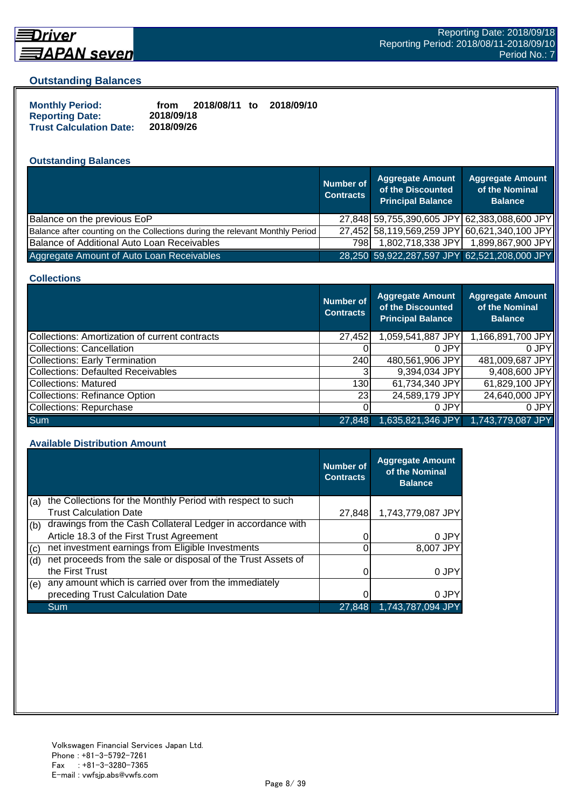

## **Driver** <u> 司APAN seven</u>

#### **Outstanding Balances**

| <b>Monthly Period:</b>         | from       | 2018/08/11 to | 2018/09/10 |
|--------------------------------|------------|---------------|------------|
| <b>Reporting Date:</b>         | 2018/09/18 |               |            |
| <b>Trust Calculation Date:</b> | 2018/09/26 |               |            |

## **Outstanding Balances**

|                                                                              | <b>Number of</b><br><b>Contracts</b> | <b>Aggregate Amount</b><br>of the Discounted<br><b>Principal Balance</b> | <b>Aggregate Amount</b><br>of the Nominal<br><b>Balance</b> |
|------------------------------------------------------------------------------|--------------------------------------|--------------------------------------------------------------------------|-------------------------------------------------------------|
| Balance on the previous EoP                                                  |                                      | 27,848 59,755,390,605 JPY 62,383,088,600 JPY                             |                                                             |
| Balance after counting on the Collections during the relevant Monthly Period |                                      | 27,452 58,119,569,259 JPY 60,621,340,100 JPY                             |                                                             |
| Balance of Additional Auto Loan Receivables                                  | 798I                                 | 1,802,718,338 JPY                                                        | 1,899,867,900 JPY                                           |
| Aggregate Amount of Auto Loan Receivables                                    |                                      | 28,250 59,922,287,597 JPY 62,521,208,000 JPY                             |                                                             |

#### **Collections**

|                                                | Number of<br><b>Contracts</b> | Aggregate Amount<br>of the Discounted<br><b>Principal Balance</b> | <b>Aggregate Amount</b><br>of the Nominal<br><b>Balance</b> |
|------------------------------------------------|-------------------------------|-------------------------------------------------------------------|-------------------------------------------------------------|
| Collections: Amortization of current contracts | 27,452                        | 1,059,541,887 JPY                                                 | 1,166,891,700 JPY                                           |
| Collections: Cancellation                      |                               | 0 JPY                                                             | 0.JPY                                                       |
| <b>Collections: Early Termination</b>          | 240                           | 480,561,906 JPY                                                   | 481,009,687 JPY                                             |
| <b>Collections: Defaulted Receivables</b>      |                               | 9,394,034 JPY                                                     | 9,408,600 JPY                                               |
| Collections: Matured                           | 130                           | 61,734,340 JPY                                                    | 61,829,100 JPY                                              |
| <b>Collections: Refinance Option</b>           | <b>231</b>                    | 24,589,179 JPY                                                    | 24,640,000 JPY                                              |
| Collections: Repurchase                        |                               | 0 JPY                                                             | 0 JPY                                                       |
| <b>Sum</b>                                     | 27,848                        | 1,635,821,346 JPY                                                 | 1,743,779,087 JPY                                           |

#### **Available Distribution Amount**

|     |                                                               | <b>Number of</b><br><b>Contracts</b> | <b>Aggregate Amount</b><br>of the Nominal<br><b>Balance</b> |
|-----|---------------------------------------------------------------|--------------------------------------|-------------------------------------------------------------|
| (a) | the Collections for the Monthly Period with respect to such   |                                      |                                                             |
|     | <b>Trust Calculation Date</b>                                 | 27,848                               | 1,743,779,087 JPY                                           |
| (b) | drawings from the Cash Collateral Ledger in accordance with   |                                      |                                                             |
|     | Article 18.3 of the First Trust Agreement                     |                                      | 0 JPY                                                       |
| (c) | net investment earnings from Eligible Investments             |                                      | 8,007 JPY                                                   |
| (d) | net proceeds from the sale or disposal of the Trust Assets of |                                      |                                                             |
|     | the First Trust                                               |                                      | 0 JPY                                                       |
| (e) | any amount which is carried over from the immediately         |                                      |                                                             |
|     | preceding Trust Calculation Date                              |                                      | 0 JPY                                                       |
|     | Sum                                                           | 27,848                               | 1.743.787.094 JPY                                           |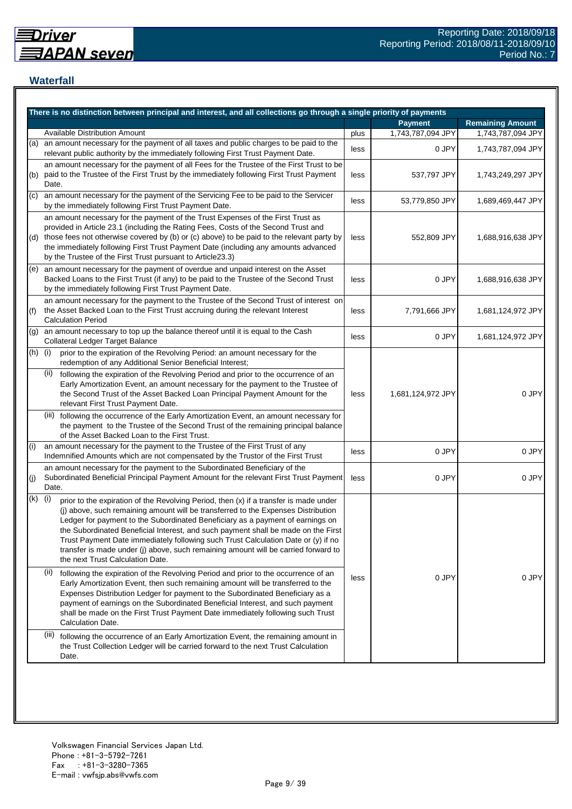## **Waterfall**

|     | There is no distinction between principal and interest, and all collections go through a single priority of payments                                                                                                                                                                                                                                                                                                                                                                                                                                                    |      |                   |                         |
|-----|-------------------------------------------------------------------------------------------------------------------------------------------------------------------------------------------------------------------------------------------------------------------------------------------------------------------------------------------------------------------------------------------------------------------------------------------------------------------------------------------------------------------------------------------------------------------------|------|-------------------|-------------------------|
|     |                                                                                                                                                                                                                                                                                                                                                                                                                                                                                                                                                                         |      | <b>Payment</b>    | <b>Remaining Amount</b> |
|     | <b>Available Distribution Amount</b>                                                                                                                                                                                                                                                                                                                                                                                                                                                                                                                                    | plus | 1,743,787,094 JPY | 1,743,787,094 JPY       |
| (a) | an amount necessary for the payment of all taxes and public charges to be paid to the<br>relevant public authority by the immediately following First Trust Payment Date.                                                                                                                                                                                                                                                                                                                                                                                               | less | 0 JPY             | 1,743,787,094 JPY       |
| (b) | an amount necessary for the payment of all Fees for the Trustee of the First Trust to be<br>paid to the Trustee of the First Trust by the immediately following First Trust Payment<br>Date.                                                                                                                                                                                                                                                                                                                                                                            | less | 537,797 JPY       | 1,743,249,297 JPY       |
| (c) | an amount necessary for the payment of the Servicing Fee to be paid to the Servicer<br>by the immediately following First Trust Payment Date.                                                                                                                                                                                                                                                                                                                                                                                                                           | less | 53,779,850 JPY    | 1,689,469,447 JPY       |
| (d) | an amount necessary for the payment of the Trust Expenses of the First Trust as<br>provided in Article 23.1 (including the Rating Fees, Costs of the Second Trust and<br>those fees not otherwise covered by (b) or (c) above) to be paid to the relevant party by<br>the immediately following First Trust Payment Date (including any amounts advanced<br>by the Trustee of the First Trust pursuant to Article23.3)                                                                                                                                                  | less | 552,809 JPY       | 1,688,916,638 JPY       |
| (e) | an amount necessary for the payment of overdue and unpaid interest on the Asset<br>Backed Loans to the First Trust (if any) to be paid to the Trustee of the Second Trust<br>by the immediately following First Trust Payment Date.                                                                                                                                                                                                                                                                                                                                     | less | 0 JPY             | 1,688,916,638 JPY       |
| (f) | an amount necessary for the payment to the Trustee of the Second Trust of interest on<br>the Asset Backed Loan to the First Trust accruing during the relevant Interest<br><b>Calculation Period</b>                                                                                                                                                                                                                                                                                                                                                                    | less | 7,791,666 JPY     | 1,681,124,972 JPY       |
| (g) | an amount necessary to top up the balance thereof until it is equal to the Cash<br>Collateral Ledger Target Balance                                                                                                                                                                                                                                                                                                                                                                                                                                                     | less | 0 JPY             | 1,681,124,972 JPY       |
| (h) | (i)<br>prior to the expiration of the Revolving Period: an amount necessary for the<br>redemption of any Additional Senior Beneficial Interest;                                                                                                                                                                                                                                                                                                                                                                                                                         |      |                   |                         |
|     | (ii)<br>following the expiration of the Revolving Period and prior to the occurrence of an<br>Early Amortization Event, an amount necessary for the payment to the Trustee of<br>the Second Trust of the Asset Backed Loan Principal Payment Amount for the<br>relevant First Trust Payment Date.                                                                                                                                                                                                                                                                       | less | 1,681,124,972 JPY | 0 JPY                   |
|     | (iii) following the occurrence of the Early Amortization Event, an amount necessary for<br>the payment to the Trustee of the Second Trust of the remaining principal balance<br>of the Asset Backed Loan to the First Trust.                                                                                                                                                                                                                                                                                                                                            |      |                   |                         |
| (i) | an amount necessary for the payment to the Trustee of the First Trust of any<br>Indemnified Amounts which are not compensated by the Trustor of the First Trust                                                                                                                                                                                                                                                                                                                                                                                                         | less | 0 JPY             | 0 JPY                   |
| (j) | an amount necessary for the payment to the Subordinated Beneficiary of the<br>Subordinated Beneficial Principal Payment Amount for the relevant First Trust Payment<br>Date.                                                                                                                                                                                                                                                                                                                                                                                            | less | 0 JPY             | 0 JPY                   |
| (k) | (i)<br>prior to the expiration of the Revolving Period, then (x) if a transfer is made under<br>(j) above, such remaining amount will be transferred to the Expenses Distribution<br>Ledger for payment to the Subordinated Beneficiary as a payment of earnings on<br>the Subordinated Beneficial Interest, and such payment shall be made on the First<br>Trust Payment Date immediately following such Trust Calculation Date or (y) if no<br>transfer is made under (j) above, such remaining amount will be carried forward to<br>the next Trust Calculation Date. |      |                   |                         |
|     | (ii)<br>following the expiration of the Revolving Period and prior to the occurrence of an<br>Early Amortization Event, then such remaining amount will be transferred to the<br>Expenses Distribution Ledger for payment to the Subordinated Beneficiary as a<br>payment of earnings on the Subordinated Beneficial Interest, and such payment<br>shall be made on the First Trust Payment Date immediately following such Trust<br>Calculation Date.                                                                                                                  | less | 0 JPY             | 0 JPY                   |
|     | (iii)<br>following the occurrence of an Early Amortization Event, the remaining amount in<br>the Trust Collection Ledger will be carried forward to the next Trust Calculation<br>Date.                                                                                                                                                                                                                                                                                                                                                                                 |      |                   |                         |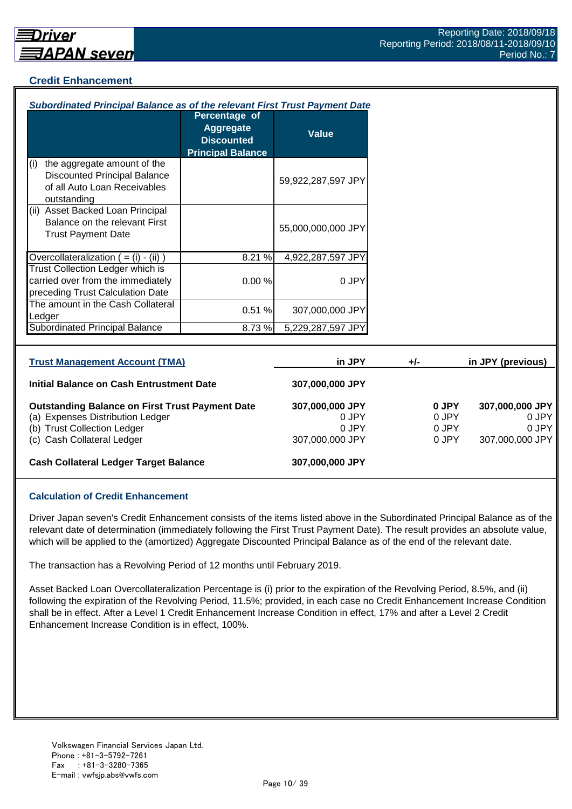#### **Credit Enhancement**

| Subordinated Principal Balance as of the relevant First Trust Payment Date                                                                              |                                                                                    |                                                      |       |                                  |                                    |
|---------------------------------------------------------------------------------------------------------------------------------------------------------|------------------------------------------------------------------------------------|------------------------------------------------------|-------|----------------------------------|------------------------------------|
|                                                                                                                                                         | Percentage of<br><b>Aggregate</b><br><b>Discounted</b><br><b>Principal Balance</b> | <b>Value</b>                                         |       |                                  |                                    |
| the aggregate amount of the<br>(i)<br><b>Discounted Principal Balance</b><br>of all Auto Loan Receivables<br>outstanding                                |                                                                                    | 59,922,287,597 JPY                                   |       |                                  |                                    |
| (ii) Asset Backed Loan Principal<br>Balance on the relevant First<br><b>Trust Payment Date</b>                                                          |                                                                                    | 55,000,000,000 JPY                                   |       |                                  |                                    |
| Overcollateralization $( = (i) - (ii))$                                                                                                                 | 8.21 %                                                                             | 4,922,287,597 JPY                                    |       |                                  |                                    |
| Trust Collection Ledger which is<br>carried over from the immediately<br>preceding Trust Calculation Date                                               | 0.00%                                                                              | 0 JPY                                                |       |                                  |                                    |
| The amount in the Cash Collateral<br>Ledger                                                                                                             | 0.51%                                                                              | 307,000,000 JPY                                      |       |                                  |                                    |
| <b>Subordinated Principal Balance</b>                                                                                                                   | 8.73%                                                                              | 5,229,287,597 JPY                                    |       |                                  |                                    |
|                                                                                                                                                         |                                                                                    |                                                      |       |                                  |                                    |
| <b>Trust Management Account (TMA)</b>                                                                                                                   |                                                                                    | in JPY                                               | $+/-$ |                                  | in JPY (previous)                  |
| Initial Balance on Cash Entrustment Date                                                                                                                |                                                                                    | 307,000,000 JPY                                      |       |                                  |                                    |
| <b>Outstanding Balance on First Trust Payment Date</b><br>(a) Expenses Distribution Ledger<br>(b) Trust Collection Ledger<br>(c) Cash Collateral Ledger |                                                                                    | 307,000,000 JPY<br>0 JPY<br>0 JPY<br>307,000,000 JPY |       | 0 JPY<br>0 JPY<br>0 JPY<br>0 JPY | 307,000,000 JPY<br>307,000,000 JPY |
| <b>Cash Collateral Ledger Target Balance</b>                                                                                                            |                                                                                    | 307,000,000 JPY                                      |       |                                  |                                    |

#### **Calculation of Credit Enhancement**

Driver Japan seven's Credit Enhancement consists of the items listed above in the Subordinated Principal Balance as of the relevant date of determination (immediately following the First Trust Payment Date). The result provides an absolute value, which will be applied to the (amortized) Aggregate Discounted Principal Balance as of the end of the relevant date.

The transaction has a Revolving Period of 12 months until February 2019.

Asset Backed Loan Overcollateralization Percentage is (i) prior to the expiration of the Revolving Period, 8.5%, and (ii) following the expiration of the Revolving Period, 11.5%; provided, in each case no Credit Enhancement Increase Condition shall be in effect. After a Level 1 Credit Enhancement Increase Condition in effect, 17% and after a Level 2 Credit Enhancement Increase Condition is in effect, 100%.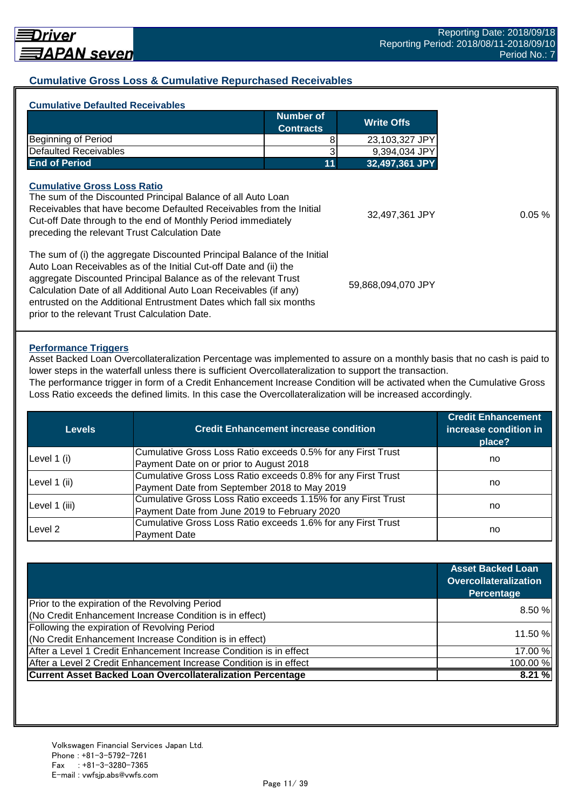## **Cumulative Gross Loss & Cumulative Repurchased Receivables**

| Number of<br><b>Contracts</b><br>Beginning of Period<br>8                                                                                                                                                                                                                                                                                                                                                     | <b>Write Offs</b>  |
|---------------------------------------------------------------------------------------------------------------------------------------------------------------------------------------------------------------------------------------------------------------------------------------------------------------------------------------------------------------------------------------------------------------|--------------------|
|                                                                                                                                                                                                                                                                                                                                                                                                               |                    |
|                                                                                                                                                                                                                                                                                                                                                                                                               | 23,103,327 JPY     |
| <b>Defaulted Receivables</b>                                                                                                                                                                                                                                                                                                                                                                                  | 9,394,034 JPY      |
| <b>End of Period</b><br>11                                                                                                                                                                                                                                                                                                                                                                                    | 32,497,361 JPY     |
| <b>Cumulative Gross Loss Ratio</b><br>The sum of the Discounted Principal Balance of all Auto Loan<br>Receivables that have become Defaulted Receivables from the Initial<br>Cut-off Date through to the end of Monthly Period immediately<br>preceding the relevant Trust Calculation Date                                                                                                                   | 32,497,361 JPY     |
| The sum of (i) the aggregate Discounted Principal Balance of the Initial<br>Auto Loan Receivables as of the Initial Cut-off Date and (ii) the<br>aggregate Discounted Principal Balance as of the relevant Trust<br>Calculation Date of all Additional Auto Loan Receivables (if any)<br>entrusted on the Additional Entrustment Dates which fall six months<br>prior to the relevant Trust Calculation Date. | 59,868,094,070 JPY |

#### **Performance Triggers**

Asset Backed Loan Overcollateralization Percentage was implemented to assure on a monthly basis that no cash is paid to lower steps in the waterfall unless there is sufficient Overcollateralization to support the transaction. The performance trigger in form of a Credit Enhancement Increase Condition will be activated when the Cumulative Gross

Loss Ratio exceeds the defined limits. In this case the Overcollateralization will be increased accordingly.

| Levels        | <b>Credit Enhancement increase condition</b>                  | <b>Credit Enhancement</b><br>increase condition in<br>place? |  |
|---------------|---------------------------------------------------------------|--------------------------------------------------------------|--|
|               | Cumulative Gross Loss Ratio exceeds 0.5% for any First Trust  |                                                              |  |
| Level 1 (i)   | Payment Date on or prior to August 2018                       | no                                                           |  |
|               | Cumulative Gross Loss Ratio exceeds 0.8% for any First Trust  |                                                              |  |
| Level 1 (ii)  | Payment Date from September 2018 to May 2019                  | no                                                           |  |
|               | Cumulative Gross Loss Ratio exceeds 1.15% for any First Trust |                                                              |  |
| Level 1 (iii) | Payment Date from June 2019 to February 2020                  | no                                                           |  |
| Level 2       | Cumulative Gross Loss Ratio exceeds 1.6% for any First Trust  |                                                              |  |
|               | <b>Payment Date</b>                                           | no                                                           |  |

|                                                                    | <b>Asset Backed Loan</b><br>Overcollateralization<br>Percentage |
|--------------------------------------------------------------------|-----------------------------------------------------------------|
| Prior to the expiration of the Revolving Period                    | 8.50 %                                                          |
| (No Credit Enhancement Increase Condition is in effect)            |                                                                 |
| Following the expiration of Revolving Period                       |                                                                 |
| (No Credit Enhancement Increase Condition is in effect)            | 11.50 %                                                         |
| After a Level 1 Credit Enhancement Increase Condition is in effect | 17.00 %                                                         |
| After a Level 2 Credit Enhancement Increase Condition is in effect | 100.00%                                                         |
| <b>Current Asset Backed Loan Overcollateralization Percentage</b>  | 8.21%                                                           |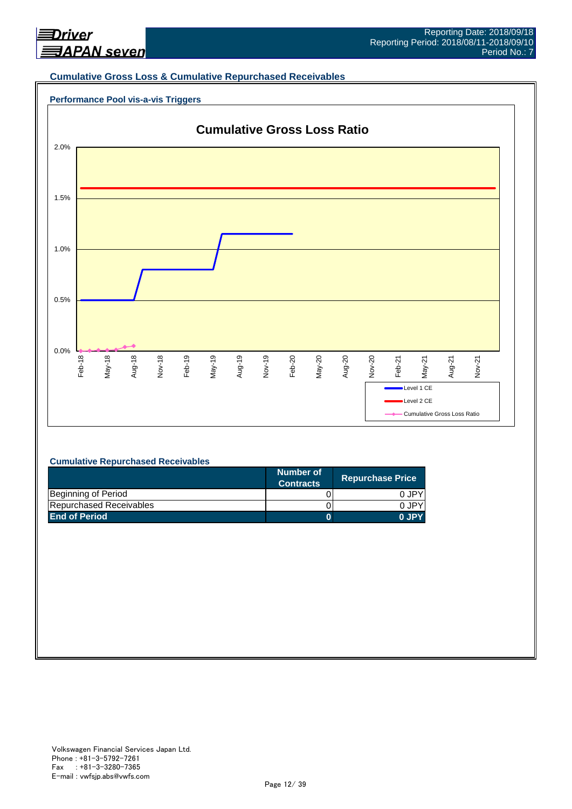

#### **Cumulative Gross Loss & Cumulative Repurchased Receivables**

## **Performance Pool vis-a-vis Triggers**



#### **Cumulative Repurchased Receivables**

|                         | Number of<br><b>Contracts</b> | <b>Repurchase Price</b> |
|-------------------------|-------------------------------|-------------------------|
| Beginning of Period     |                               | 0 JPY                   |
| Repurchased Receivables |                               | 0.JPY                   |
| <b>End of Period</b>    |                               | 0 JPY                   |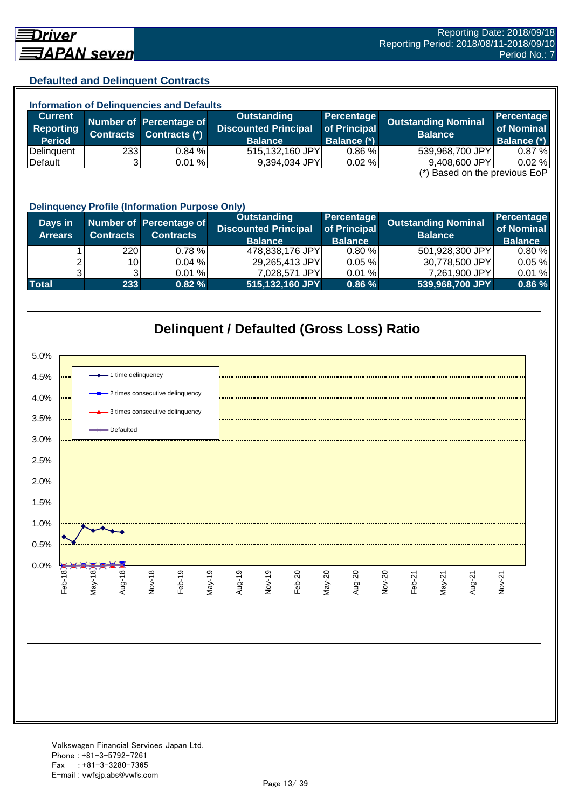## **Defaulted and Delinquent Contracts**

| <b>Information of Delinguencies and Defaults</b> |  |                                           |                                           |                                                  |                                                                                                                                                                         |  |  |
|--------------------------------------------------|--|-------------------------------------------|-------------------------------------------|--------------------------------------------------|-------------------------------------------------------------------------------------------------------------------------------------------------------------------------|--|--|
|                                                  |  | Outstanding                               |                                           |                                                  | Percentage                                                                                                                                                              |  |  |
|                                                  |  | <b>Discounted Principal</b>               |                                           |                                                  | of Nominal                                                                                                                                                              |  |  |
|                                                  |  | <b>Balance</b>                            | <b>Balance (*)</b>                        |                                                  | <b>Balance (*)</b>                                                                                                                                                      |  |  |
|                                                  |  |                                           | 0.86%                                     |                                                  | 0.87%                                                                                                                                                                   |  |  |
|                                                  |  |                                           | 0.02%                                     |                                                  | 0.02%                                                                                                                                                                   |  |  |
|                                                  |  | Contracts (*)<br><b>Contracts</b><br>2331 | Number of Percentage of<br>0.84%<br>0.01% | of Principal<br>515,132,160 JPY<br>9,394,034 JPY | Percentage<br><b>Outstanding Nominal</b><br><b>Balance</b><br>539,968,700 JPY<br>9,408,600 JPY<br>$\left( \star \right)$ Description the magnetic $\Gamma \circ \Gamma$ |  |  |

(\*) Based on the previous EoP

|                           | <b>Delinquency Profile (Information Purpose Only)</b> |                                             |                                                                     |                                              |                                              |                                            |  |  |
|---------------------------|-------------------------------------------------------|---------------------------------------------|---------------------------------------------------------------------|----------------------------------------------|----------------------------------------------|--------------------------------------------|--|--|
| Days in<br><b>Arrears</b> | <b>Contracts</b>                                      | Number of Percentage of<br><b>Contracts</b> | <b>Outstanding</b><br><b>Discounted Principal</b><br><b>Balance</b> | Percentage<br>of Principal<br><b>Balance</b> | <b>Outstanding Nominal</b><br><b>Balance</b> | Percentage<br>of Nominal<br><b>Balance</b> |  |  |
|                           | <b>220</b>                                            | $0.78 \%$                                   | 478,838,176 JPY                                                     | 0.80%                                        | 501,928,300 JPY                              | 0.80%                                      |  |  |
|                           | 10I                                                   | 0.04%                                       | 29,265,413 JPY                                                      | 0.05%                                        | 30,778,500 JPY                               | 0.05%                                      |  |  |
|                           |                                                       | 0.01%                                       | 7,028,571 JPY                                                       | 0.01%                                        | 7,261,900 JPY                                | 0.01%                                      |  |  |
| <b>Total</b>              | 233                                                   | 0.82%                                       | 515,132,160 JPY                                                     | 0.86%                                        | 539,968,700 JPY                              | 0.86%                                      |  |  |

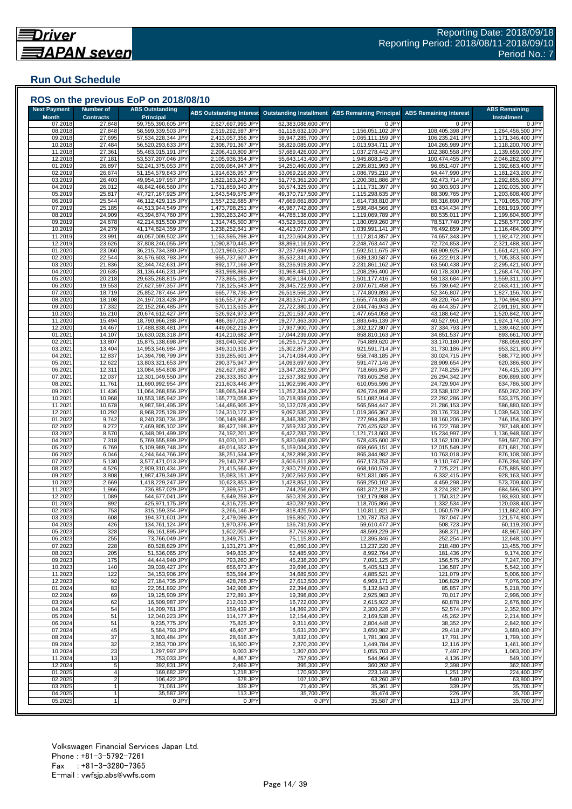## **Run Out Schedule**

| <b>Next Payment</b><br><b>Month</b> | <b>Number of</b><br><b>Contracts</b> | <b>ABS Outstanding</b><br><b>Principal</b> | <b>ABS Outstanding Interest</b>        | <b>Outstanding Installment</b>           | <b>ABS Remaining Principal</b>         | <b>ABS Remaining Interest</b>      | <b>ABS Remaining</b><br><b>Installment</b> |
|-------------------------------------|--------------------------------------|--------------------------------------------|----------------------------------------|------------------------------------------|----------------------------------------|------------------------------------|--------------------------------------------|
| 07.2018                             | 27,848                               | 59,755,390,605 JPY                         | 2,627,697,995 JPY                      | 62,383,088,600 JPY                       | 0 JPY                                  | 0 JPY                              | 0 JPY                                      |
| 08.2018<br>09.2018                  | 27,848<br>27,695                     | 58,599,339,503 JPY<br>57,534,228,344 JPY   | 2,519,292,597 JPY<br>2,413,057,356 JPY | 61,118,632,100 JPY<br>59,947,285,700 JPY | 1,156,051,102 JPY<br>1,065,111,159 JPY | 108,405,398 JPY<br>106,235,241 JPY | 1,264,456,500 JPY<br>1,171,346,400 JPY     |
| 10.2018                             | 27,484                               | 56,520,293,633 JPY                         | 2,308,791,367 JPY                      | 58,829,085,000 JPY                       | 1,013,934,711 JPY                      | 104,265,989 JPY                    | 1,118,200,700 JPY                          |
| 11.2018                             | 27,361                               | 55,483,015,191 JPY                         | 2,206,410,809 JPY                      | 57,689,426,000 JPY                       | 1,037,278,442 JPY                      | 102,380,558 JPY                    | 1,139,659,000 JPY                          |
| 12.2018                             | 27,181                               | 53,537,207,046 JPY                         | 2,105,936,354 JPY                      | 55,643,143,400 JPY                       | 1,945,808,145 JPY                      | 100,474,455 JPY                    | 2,046,282,600 JPY                          |
| 01.2019                             | 26,897                               | 52,241,375,053 JPY                         | 2,009,084,947 JPY                      | 54,250,460,000 JPY                       | 1,295,831,993 JPY                      | 96,851,407 JPY                     | 1,392,683,400 JPY                          |
| 02.2019<br>03.2019                  | 26,674<br>26,403                     | 51,154,579,843 JPY<br>49,954,197,957 JPY   | 1,914,636,957 JPY<br>1,822,163,243 JPY | 53,069,216,800 JPY<br>51,776,361,200 JPY | 1,086,795,210 JPY<br>1,200,381,886 JPY | 94,447,990 JPY<br>92,473,714 JPY   | 1,181,243,200 JPY<br>1,292,855,600 JPY     |
| 04.2019                             | 26,012                               | 48,842,466,560 JPY                         | 1,731,859,340 JPY                      | 50,574,325,900 JPY                       | 1,111,731,397 JPY                      | 90,303,903 JPY                     | 1,202,035,300 JPY                          |
| 05.2019                             | 25,817                               | 47,727,167,925 JPY                         | 1,643,549,575 JPY                      | 49,370,717,500 JPY                       | 1,115,298,635 JPY                      | 88,309,765 JPY                     | 1,203,608,400 JPY                          |
| 06.2019                             | 25,544                               | 46,112,429,115 JPY                         | 1,557,232,685 JPY                      | 47,669,661,800 JPY                       | 1,614,738,810 JPY                      | 86,316,890 JPY                     | 1,701,055,700 JPY                          |
| 07.2019<br>08.2019                  | 25,185<br>24,909                     | 44,513,944,549 JPY<br>43,394,874,760 JPY   | 1,473,798,251 JPY<br>1,393,263,240 JPY | 45,987,742,800 JPY<br>44,788,138,000 JPY | 1,598,484,566 JPY<br>1,119,069,789 JPY | 83,434,434 JPY<br>80,535,011 JPY   | 1,681,919,000 JPY<br>1,199,604,800 JPY     |
| 09.2019                             | 24,678                               | 42,214,815,500 JPY                         | 1,314,745,500 JPY                      | 43,529,561,000 JPY                       | 1,180,059,260 JPY                      | 78,517,740 JPY                     | 1,258,577,000 JPY                          |
| 10.2019                             | 24,279                               | 41,174,824,359 JPY                         | 1,238,252,641 JPY                      | 42,413,077,000 JPY                       | 1,039,991,141 JPY                      | 76,492,859 JPY                     | 1,116,484,000 JPY                          |
| 11.2019                             | 23,991                               | 40,057,009,502 JPY                         | 1,163,595,298 JPY                      | 41,220,604,800 JPY                       | 1,117,814,857 JPY                      | 74,657,343 JPY                     | 1,192,472,200 JPY                          |
| 12.2019                             | 23,626                               | 37,808,246,055 JPY                         | 1,090,870,445 JPY                      | 38,899,116,500 JPY                       | 2,248,763,447 JPY                      | 72,724,853 JPY                     | 2,321,488,300 JPY                          |
| 01.2020<br>02.2020                  | 23,060<br>22,544                     | 36,215,734,380 JPY<br>34,576,603,793 JPY   | 1,021,960,520 JPY<br>955,737,607 JPY   | 37,237,694,900 JPY<br>35,532,341,400 JPY | 1,592,511,675 JPY<br>1,639,130,587 JPY | 68,909,925 JPY<br>66,222,913 JPY   | 1,661,421,600 JPY<br>1,705,353,500 JPY     |
| 03.2020                             | 21,836                               | 32,344,742,631 JPY                         | 892,177,169 JPY                        | 33,236,919,800 JPY                       | 2,231,861,162 JPY                      | 63,560,438 JPY                     | 2,295,421,600 JPY                          |
| 04.2020                             | 20,635                               | 31,136,446,231 JPY                         | 831,998,869 JPY                        | 31,968,445,100 JPY                       | 1,208,296,400 JPY                      | 60,178,300 JPY                     | 1,268,474,700 JPY                          |
| 05.2020                             | 20,218                               | 29,635,268,815 JPY                         | 773,865,185 JPY                        | 30,409,134,000 JPY                       | 1,501,177,416 JPY                      | 58,133,684 JPY                     | 1,559,311,100 JPY                          |
| 06.2020                             | 19,553                               | 27,627,597,357 JPY                         | 718,125,543 JPY                        | 28,345,722,900 JPY                       | 2,007,671,458 JPY                      | 55,739,642 JPY                     | 2,063,411,100 JPY                          |
| 07.2020<br>08.2020                  | 18,719<br>18,108                     | 25,852,787,464 JPY<br>24,197,013,428 JPY   | 665,778,736 JPY<br>616,557,972 JPY     | 26,518,566,200 JPY<br>24,813,571,400 JPY | 1,774,809,893 JPY<br>1,655,774,036 JPY | 52,346,807 JPY<br>49,220,764 JPY   | 1,827,156,700 JPY<br>1,704,994,800 JPY     |
| 09.2020                             | 17,332                               | 22,152,266,485 JPY                         | 570,113,615 JPY                        | 22,722,380,100 JPY                       | 2,044,746,943 JPY                      | 46,444,357 JPY                     | 2,091,191,300 JPY                          |
| 10.2020                             | 16,210                               | 20,674,612,427 JPY                         | 526,924,973 JPY                        | 21,201,537,400 JPY                       | 1,477,654,058 JPY                      | 43,188,642 JPY                     | 1,520,842,700 JPY                          |
| 11.2020                             | 15,494                               | 18,790,966,288 JPY                         | 486,397,012 JPY                        | 19,277,363,300 JPY                       | 1,883,646,139 JPY                      | 40,527,961 JPY                     | 1,924,174,100 JPY                          |
| 12.2020                             | 14,467                               | 17,488,838,481 JPY                         | 449,062,219 JPY                        | 17,937,900,700 JPY                       | 1,302,127,807 JPY                      | 37,334,793 JPY                     | 1,339,462,600 JPY                          |
| 01.2021<br>02.2021                  | 14,107<br>13,807                     | 16,630,028,318 JPY<br>15,875,138,698 JPY   | 414,210,682 JPY<br>381,040,502 JPY     | 17,044,239,000 JPY<br>16,256,179,200 JPY | 858,810,163 JPY<br>754,889,620 JPY     | 34,851,537 JPY<br>33,170,180 JPY   | 893,661,700 JPY<br>788,059,800 JPY         |
| 03.2021                             | 13,404                               | 14,953,546,984 JPY                         | 349,310,316 JPY                        | 15,302,857,300 JPY                       | 921,591,714 JPY                        | 31,730,186 JPY                     | 953,321,900 JPY                            |
| 04.2021                             | 12,837                               | 14,394,798,799 JPY                         | 319,285,601 JPY                        | 14,714,084,400 JPY                       | 558,748,185 JPY                        | 30,024,715 JPY                     | 588,772,900 JPY                            |
| 05.2021                             | 12,622                               | 13,803,321,653 JPY                         | 290,375,947 JPY                        | 14,093,697,600 JPY                       | 591,477,146 JPY                        | 28,909,654 JPY                     | 620,386,800 JPY                            |
| 06.2021                             | 12,311                               | 13,084,654,808 JPY                         | 262,627,692 JPY                        | 13,347,282,500 JPY                       | 718,666,845 JPY                        | 27,748,255 JPY                     | 746,415,100 JPY                            |
| 07.2021<br>08.2021                  | 12,037<br>11,761                     | 12,301,049,550 JPY<br>11,690,992,954 JPY   | 236,333,350 JPY<br>211,603,446 JPY     | 12,537,382,900 JPY<br>11,902,596,400 JPY | 783,605,258 JPY<br>610,056,596 JPY     | 26,294,342 JPY<br>24,729,904 JPY   | 809,899,600 JPY<br>634,786,500 JPY         |
| 09.2021                             | 11,436                               | 11,064,268,856 JPY                         | 188,065,344 JPY                        | 11,252,334,200 JPY                       | 626,724,098 JPY                        | 23,538,102 JPY                     | 650,262,200 JPY                            |
| 10.2021                             | 10,968                               | 10,553,185,942 JPY                         | 165,773,058 JPY                        | 10,718,959,000 JPY                       | 511,082,914 JPY                        | 22,292,286 JPY                     | 533,375,200 JPY                            |
| 11.2021                             | 10,678                               | 9,987,591,495 JPY                          | 144,486,905 JPY                        | 10,132,078,400 JPY                       | 565,594,447 JPY                        | 21,286,153 JPY                     | 586,880,600 JPY                            |
| 12.2021                             | 10,292                               | 8,968,225,128 JPY                          | 124,310,172 JPY                        | 9,092,535,300 JPY                        | 1,019,366,367 JPY                      | 20,176,733 JPY                     | 1,039,543,100 JPY                          |
| 01.2022<br>02.2022                  | 9,742<br>9,272                       | 8,240,230,734 JPY<br>7,469,805,102 JPY     | 106,149,966 JPY<br>89,427,198 JPY      | 8,346,380,700 JPY<br>7,559,232,300 JPY   | 727,994,394 JPY<br>770,425,632 JPY     | 18,160,206 JPY<br>16,722,768 JPY   | 746,154,600 JPY<br>787,148,400 JPY         |
| 03.2022                             | 8,570                                | 6,348,091,499 JPY                          | 74,192,201 JPY                         | 6,422,283,700 JPY                        | 1,121,713,603 JPY                      | 15,234,997 JPY                     | 1,136,948,600 JPY                          |
| 04.2022                             | 7,318                                | 5,769,655,899 JPY                          | 61,030,101 JPY                         | 5,830,686,000 JPY                        | 578,435,600 JPY                        | 13,162,100 JPY                     | 591,597,700 JPY                            |
| 05.2022                             | 6,769                                | 5,109,989,748 JPY                          | 49,014,552 JPY                         | 5,159,004,300 JPY                        | 659,666,151 JPY                        | 12,015,549 JPY                     | 671,681,700 JPY                            |
| 06.2022                             | 6,046                                | 4,244,644,766 JPY                          | 38,251,534 JPY                         | 4,282,896,300 JPY                        | 865,344,982 JPY                        | 10,763,018 JPY                     | 876,108,000 JPY                            |
| 07.2022<br>08.2022                  | 5,130<br>4,526                       | 3,577,471,013 JPY<br>2,909,310,434 JPY     | 29,140,787 JPY<br>21,415,566 JPY       | 3,606,611,800 JPY<br>2,930,726,000 JPY   | 667,173,753 JPY<br>668,160,579 JPY     | 9,110,747 JPY<br>7,725,221 JPY     | 676,284,500 JPY<br>675,885,800 JPY         |
| 09.2022                             | 3,808                                | 1,987,479,349 JPY                          | 15,083,151 JPY                         | 2,002,562,500 JPY                        | 921,831,085 JPY                        | 6,332,415 JPY                      | 928,163,500 JPY                            |
| 10.2022                             | 2,669                                | 1,418,229,247 JPY                          | 10,623,853 JPY                         | 1,428,853,100 JPY                        | 569,250,102 JPY                        | 4,459,298 JPY                      | 573,709,400 JPY                            |
| 11.2022                             | 1,966                                | 736,857,029 JPY                            | 7,399,571 JPY                          | 744,256,600 JPY                          | 681,372,218 JPY                        | 3,224,282 JPY                      | 684,596,500 JPY                            |
| 12.2022                             | 1,089                                | 544,677,041 JPY                            | 5,649,259 JPY                          | 550,326,300 JPY                          | 192,179,988 JPY                        | 1,750,312 JPY                      | 193,930,300 JPY                            |
| 01.2023<br>02.2023                  | 892<br>753                           | 425,971,175 JPY<br>315,159,354 JPY         | 4,316,725 JPY<br>3,266,146 JPY         | 430,287,900 JPY<br>318,425,500 JPY       | 118,705,866 JPY<br>110,811,821 JPY     | 1,332,534 JPY<br>1,050,579 JPY     | 120,038,400 JPY<br>111,862,400 JPY         |
| 03.2023                             | 608                                  | 194,371,601 JPY                            | 2,479,099 JPY                          | 196,850,700 JPY                          | 120,787,753 JPY                        | 787.047 JPY                        | 121,574,800 JPY                            |
| 04.2023                             | 426                                  | 134,761,124 JPY                            | 1,970,376 JPY                          | 136,731,500 JPY                          | 59,610,477 JPY                         | 508,723 JPY                        | 60,119,200 JPY                             |
| 05.2023                             | 328                                  | 86,161,895 JPY                             | 1,602,005 JPY                          | 87,763,900 JPY                           | 48,599,229 JPY                         | 368,371 JPY                        | 48,967,600 JPY                             |
| 06.2023                             | 255                                  | 73,766,049 JPY                             | 1,349,751 JPY                          | 75,115,800 JPY                           | 12,395,846 JPY                         | 252,254 JPY                        | 12,648,100 JPY                             |
| 07.2023<br>08.2023                  | 228<br>205                           | 60,528,829 JPY<br>51,536,065 JPY           | 1,131,271 JPY<br>949,835 JPY           | 61,660,100 JPY<br>52,485,900 JPY         | 13,237,220 JPY<br>8,992,764 JPY        | 218,480 JPY<br>181,436 JPY         | 13,455,700 JPY<br>9,174,200 JPY            |
| 09.2023                             | 175                                  | 44,444,940 JPY                             | 793,260 JPY                            | 45,238,200 JPY                           | 7,091,125 JPY                          | 156,575 JPY                        | 7,247,700 JPY                              |
| 10.2023                             | 140                                  | 39,039,427 JPY                             | 656,673 JPY                            | 39,696,100 JPY                           | 5,405,513 JPY                          | 136,587 JPY                        | 5,542,100 JPY                              |
| 11.2023                             | 122                                  | 34,153,906 JPY                             | 535,594 JPY                            | 34,689,500 JPY                           | 4,885,521 JPY                          | 121,079 JPY                        | 5,006,600 JPY                              |
| 12.2023                             | 92                                   | 27,184,735 JPY                             | 428,765 JPY                            | 27,613,500 JPY                           | 6,969,171 JPY                          | 106,829 JPY                        | 7,076,000 JPY                              |
| 01.2024<br>02.2024                  | 83<br>69                             | 22,051,892 JPY<br>19,125,909 JPY           | 342,908 JPY<br>272,891 JPY             | 22,394,800 JPY<br>19,398,800 JPY         | 5,132,843 JPY<br>2,925,983 JPY         | 85,857 JPY<br>70,017 JPY           | 5.218.700 JPY<br>2,996,000 JPY             |
| 03.2024                             | 62                                   | 16,509,987 JPY                             | 212,013 JPY                            | 16,722,000 JPY                           | 2,615,922 JPY                          | 60,878 JPY                         | 2,676,800 JPY                              |
| 04.2024                             | 54                                   | 14,209,761 JPY                             | 159,439 JPY                            | 14,369,200 JPY                           | 2,300,226 JPY                          | 52,574 JPY                         | 2,352,800 JPY                              |
| 05.2024                             | 51                                   | 12,040,223 JPY                             | 114,177 JPY                            | 12,154,400 JPY                           | 2,169,538 JPY                          | 45,262 JPY                         | 2,214,800 JPY                              |
| 06.2024                             | 51                                   | 9,235,775 JPY                              | 75,825 JPY                             | 9,311,600 JPY                            | 2,804,448 JPY                          | 38,352 JPY                         | 2,842,800 JPY                              |
| 07.2024                             | 45                                   | 5,584,793 JPY                              | 46,407 JPY                             | 5,631,200 JPY                            | 3,650,982 JPY                          | 29.418 JPY                         | 3,680,400 JPY                              |
| 08.2024<br>09.2024                  | 37<br>32                             | 3,803,484 JPY<br>2.353.700 JPY             | 28,616 JPY<br>16,500 JPY               | 3,832,100 JPY<br>2,370,200 JPY           | 1,781,309 JPY<br>1,449,784 JPY         | 17,791 JPY<br>12,116 JPY           | 1,799,100 JPY<br>1,461,900 JPY             |
| 10.2024                             | 23                                   | 1,297,997 JPY                              | 9,003 JPY                              | 1,307,000 JPY                            | 1,055,703 JPY                          | 7,497 JPY                          | 1,063,200 JPY                              |
| 11.2024                             | 13                                   | 753,033 JPY                                | 4,867 JPY                              | 757,900 JPY                              | 544,964 JPY                            | 4,136 JPY                          | 549,100 JPY                                |
| 12.2024                             | 5                                    | 392,831 JPY                                | 2,469 JPY                              | 395,300 JPY                              | 360,202 JPY                            | 2,398 JPY                          | 362,600 JPY                                |
| 01.2025                             |                                      | 169,682 JPY                                | 1,218 JPY                              | 170,900 JPY                              | 223,149 JPY                            | 1,251 JPY                          | 224,400 JPY                                |
| 02.2025<br>03.2025                  |                                      | 106,422 JPY<br>71,061 JPY                  | 678 JPY<br>339 JPY                     | 107,100 JPY<br>71,400 JPY                | 63,260 JPY<br>35,361 JPY               | 540 JPY<br>339 JPY                 | 63,800 JPY<br>35,700 JPY                   |
|                                     |                                      |                                            |                                        |                                          |                                        |                                    | 35,700 JPY                                 |
| 04.2025                             |                                      | 35,587 JPY<br>0 JPY                        | 113 JPY<br>0 JPY                       | 35,700 JPY<br>0 JPY                      | 35,474 JPY<br>35,587 JPY               | 226 JPY<br>113 JPY                 | 35,700 JPY                                 |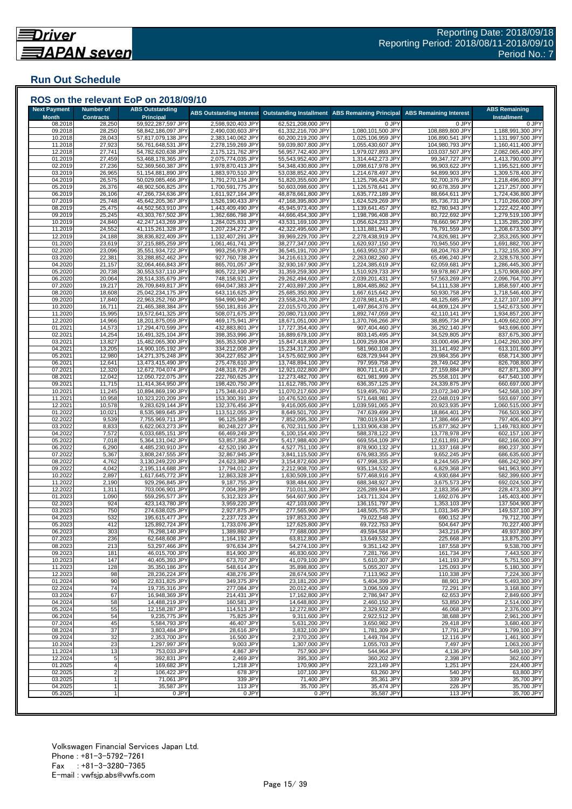## **Run Out Schedule**

| <b>Next Payment</b> | <b>Number of</b> | ROS on the relevant EoP on 2018/09/10<br><b>ABS Outstanding</b> |                                        |                                          |                                        |                                    | <b>ABS Remaining</b>                   |
|---------------------|------------------|-----------------------------------------------------------------|----------------------------------------|------------------------------------------|----------------------------------------|------------------------------------|----------------------------------------|
| <b>Month</b>        | <b>Contracts</b> | <b>Principal</b>                                                | <b>ABS Outstanding Interest</b>        | <b>Outstanding Installment</b>           | <b>ABS Remaining Principal</b>         | <b>ABS Remaining Interest</b>      | <b>Installment</b>                     |
| 08.2018             | 28,250           | 59,922,287,597 JPY                                              | 2,598,920,403 JPY                      | 62,521,208,000 JPY                       | 0 JPY                                  | 0 JPY                              | 0 JPY                                  |
| 09.2018             | 28,250           | 58,842,186,097 JPY                                              | 2,490,030,603 JPY                      | 61,332,216,700 JPY                       | 1,080,101,500 JPY                      | 108,889,800 JPY                    | 1,188,991,300 JPY                      |
| 10.2018<br>11.2018  | 28,043<br>27,923 | 57,817,079,138 JPY<br>56,761,648,531 JPY                        | 2,383,140,062 JPY<br>2,278,159,269 JPY | 60,200,219,200 JPY<br>59,039,807,800 JPY | 1,025,106,959 JPY<br>1,055,430,607 JPY | 106,890,541 JPY<br>104,980,793 JPY | 1,131,997,500 JPY<br>1,160,411,400 JPY |
| 12.2018             | 27,741           | 54,782,620,638 JPY                                              | 2,175,121,762 JPY                      | 56,957,742,400 JPY                       | 1,979,027,893 JPY                      | 103,037,507 JPY                    | 2,082,065,400 JPY                      |
| 01.2019             | 27,459           | 53,468,178,365 JPY                                              | 2,075,774,035 JPY                      | 55,543,952,400 JPY                       | 1,314,442,273 JPY                      | 99,347,727 JPY                     | 1,413,790,000 JPY                      |
| 02.2019             | 27,236           | 52,369,560,387 JPY                                              | 1,978,870,413 JPY                      | 54,348,430,800 JPY                       | 1,098,617,978 JPY                      | 96,903,622 JPY                     | 1,195,521,600 JPY                      |
| 03.2019             | 26,965           | 51,154,881,890 JPY                                              | 1,883,970,510 JPY                      | 53,038,852,400 JPY                       | 1,214,678,497 JPY                      | 94,899,903 JPY                     | 1,309,578,400 JPY                      |
| 04.2019             | 26,575           | 50,029,085,466 JPY                                              | 1,791,270,134 JPY                      | 51,820,355,600 JPY                       | 1,125,796,424 JPY                      | 92,700,376 JPY                     | 1,218,496,800 JPY                      |
| 05.2019             | 26,376           | 48,902,506,825 JPY                                              | 1,700,591,775 JPY                      | 50,603,098,600 JPY                       | 1,126,578,641 JPY                      | 90,678,359 JPY                     | 1,217,257,000 JPY                      |
| 06.2019<br>07.2019  | 26,106<br>25,748 | 47,266,734,636 JPY<br>45,642,205,367 JPY                        | 1,611,927,164 JPY<br>1,526,190,433 JPY | 48,878,661,800 JPY<br>47,168,395,800 JPY | 1,635,772,189 JPY<br>1,624,529,269 JPY | 88,664,611 JPY<br>85,736,731 JPY   | 1,724,436,800 JPY<br>1,710,266,000 JPY |
| 08.2019             | 25,475           | 44,502,563,910 JPY                                              | 1,443,409,490 JPY                      | 45,945,973,400 JPY                       | 1,139,641,457 JPY                      | 82,780,943 JPY                     | 1,222,422,400 JPY                      |
| 09.2019             | 25,245           | 43,303,767,502 JPY                                              | 1,362,686,798 JPY                      | 44,666,454,300 JPY                       | 1,198,796,408 JPY                      | 80,722,692 JPY                     | 1,279,519,100 JPY                      |
| 10.2019             | 24,840           | 42,247,143,269 JPY                                              | 1,284,025,831 JPY                      | 43,531,169,100 JPY                       | 1,056,624,233 JPY                      | 78,660,967 JPY                     | 1,135,285,200 JPY                      |
| 11.2019             | 24,552           | 41,115,261,328 JPY                                              | 1,207,234,272 JPY                      | 42,322,495,600 JPY                       | 1,131,881,941 JPY                      | 76,791,559 JPY                     | 1,208,673,500 JPY                      |
| 12.2019             | 24,188           | 38,836,822,409 JPY                                              | 1,132,407,291 JPY                      | 39,969,229,700 JPY                       | 2,278,438,919 JPY                      | 74,826,981 JPY                     | 2,353,265,900 JPY                      |
| 01.2020             | 23,619           | 37,215,885,259 JPY                                              | 1,061,461,741 JPY                      | 38,277,347,000 JPY                       | 1,620,937,150 JPY                      | 70,945,550 JPY                     | 1,691,882,700 JPY                      |
| 02.2020<br>03.2020  | 23,096<br>22,381 | 35,551,934,722 JPY<br>33,288,852,462 JPY                        | 993,256,978 JPY<br>927,760,738 JPY     | 36,545,191,700 JPY<br>34,216,613,200 JPY | 1,663,950,537 JPY<br>2,263,082,260 JPY | 68,204,763 JPY<br>65,496,240 JPY   | 1,732,155,300 JPY<br>2,328,578,500 JPY |
| 04.2020             | 21,157           | 32,064,466,843 JPY                                              | 865,701,057 JPY                        | 32,930,167,900 JPY                       | 1,224,385,619 JPY                      | 62,059,681 JPY                     | 1,286,445,300 JPY                      |
| 05.2020             | 20,738           | 30,553,537,110 JPY                                              | 805,722,190 JPY                        | 31,359,259,300 JPY                       | 1,510,929,733 JPY                      | 59,978,867 JPY                     | 1,570,908,600 JPY                      |
| 06.2020             | 20,064           | 28,514,335,679 JPY                                              | 748,158,921 JPY                        | 29,262,494,600 JPY                       | 2,039,201,431 JPY                      | 57,563,269 JPY                     | 2,096,764,700 JPY                      |
| 07.2020             | 19,217           | 26,709,849,817 JPY                                              | 694,047,383 JPY                        | 27,403,897,200 JPY                       | 1,804,485,862 JPY                      | 54,111,538 JPY                     | 1,858,597,400 JPY                      |
| 08.2020             | 18,608           | 25,042,234,175 JPY                                              | 643,116,625 JPY                        | 25,685,350,800 JPY                       | 1,667,615,642 JPY                      | 50,930,758 JPY                     | 1,718,546,400 JPY                      |
| 09.2020             | 17,840           | 22,963,252,760 JPY                                              | 594,990,940 JPY                        | 23,558,243,700 JPY                       | 2,078,981,415 JPY                      | 48,125,685 JPY                     | 2,127,107,100 JPY                      |
| 10.2020             | 16,711           | 21,465,388,384 JPY                                              | 550,181,816 JPY                        | 22,015,570,200 JPY                       | 1,497,864,376 JPY                      | 44,809,124 JPY                     | 1,542,673,500 JPY                      |
| 11.2020<br>12.2020  | 15,995<br>14,966 | 19,572,641,325 JPY<br>18,201,875,059 JPY                        | 508,071,675 JPY<br>469,175,941 JPY     | 20,080,713,000 JPY<br>18,671,051,000 JPY | 1,892,747,059 JPY<br>1,370,766,266 JPY | 42,110,141 JPY<br>38,895,734 JPY   | 1,934,857,200 JPY<br>1,409,662,000 JPY |
| 01.2021             | 14,573           | 17,294,470,599 JPY                                              | 432,883,801 JPY                        | 17,727,354,400 JPY                       | 907,404,460 JPY                        | 36,292,140 JPY                     | 943,696,600 JPY                        |
| 02.2021             | 14,254           | 16,491,325,104 JPY                                              | 398,353,996 JPY                        | 16,889,679,100 JPY                       | 803,145,495 JPY                        | 34,529,805 JPY                     | 837,675,300 JPY                        |
| 03.2021             | 13,827           | 15,482,065,300 JPY                                              | 365,353,500 JPY                        | 15,847,418,800 JPY                       | 1,009,259,804 JPY                      | 33,000,496 JPY                     | 1,042,260,300 JPY                      |
| 04.2021             | 13,205           | 14,900,105,192 JPY                                              | 334,212,008 JPY                        | 15,234,317,200 JPY                       | 581,960,108 JPY                        | 31,141,492 JPY                     | 613,101,600 JPY                        |
| 05.2021             | 12,980           | 14,271,375,248 JPY                                              | 304,227,652 JPY                        | 14,575,602,900 JPY                       | 628,729,944 JPY                        | 29,984,356 JPY                     | 658,714,300 JPY                        |
| 06.2021             | 12,641           | 13,473,415,490 JPY                                              | 275,478,610 JPY                        | 13,748,894,100 JPY                       | 797,959,758 JPY                        | 28,749,042 JPY                     | 826,708,800 JPY                        |
| 07.2021             | 12,320           | 12,672,704,074 JPY                                              | 248,318,726 JPY                        | 12,921,022,800 JPY                       | 800,711,416 JPY                        | 27,159,884 JPY                     | 827,871,300 JPY                        |
| 08.2021<br>09.2021  | 12,042<br>11,715 | 12,050,722,075 JPY<br>11,414,364,950 JPY                        | 222,760,625 JPY<br>198,420,750 JPY     | 12,273,482,700 JPY<br>11,612,785,700 JPY | 621,981,999 JPY<br>636,357,125 JPY     | 25,558,101 JPY<br>24,339,875 JPY   | 647,540,100 JPY<br>660,697,000 JPY     |
| 10.2021             | 11,245           | 10,894,869,190 JPY                                              | 175,348,410 JPY                        | 11,070,217,600 JPY                       | 519,495,760 JPY                        | 23,072,340 JPY                     | 542,568,100 JPY                        |
| 11.2021             | 10,958           | 10,323,220,209 JPY                                              | 153,300,391 JPY                        | 10,476,520,600 JPY                       | 571,648,981 JPY                        | 22,048,019 JPY                     | 593,697,000 JPY                        |
| 12.2021             | 10,578           | 9,283,629,144 JPY                                               | 132,376,456 JPY                        | 9,416,005,600 JPY                        | 1,039,591,065 JPY                      | 20,923,935 JPY                     | 1,060,515,000 JPY                      |
| 01.2022             | 10,021           | 8,535,989,645 JPY                                               | 113,512,055 JPY                        | 8,649,501,700 JPY                        | 747,639,499 JPY                        | 18,864,401 JPY                     | 766,503,900 JPY                        |
| 02.2022             | 9,539            | 7,755,969,711 JPY                                               | 96,125,589 JPY                         | 7,852,095,300 JPY                        | 780,019,934 JPY                        | 17,386,466 JPY                     | 797,406,400 JPY                        |
| 03.202              | 8,833            | 6,622,063,273 JPY                                               | 80,248,227 JPY                         | 6,702,311,500 JPY                        | 1,133,906,438 JPY                      | 15,877,362 JPY                     | 1,149,783,800 JPY                      |
| 04.202<br>05.2022   | 7,572<br>7,018   | 6,033,685,151 JPY<br>5,364,131,042 JPY                          | 66,469,249 JPY<br>53,857,358 JPY       | 6,100,154,400 JPY<br>5,417,988,400 JPY   | 588,378,122 JPY<br>669,554,109 JPY     | 13,778,978 JPY<br>12,611,891 JPY   | 602,157,100 JPY<br>682,166,000 JPY     |
| 06.2022             | 6,290            | 4,485,230,910 JPY                                               | 42,520,190 JPY                         | 4,527,751,100 JPY                        | 878,900,132 JPY                        | 11,337,168 JPY                     | 890,237,300 JPY                        |
| 07.2022             | 5,367            | 3,808,247,555 JPY                                               | 32,867,945 JPY                         | 3,841,115,500 JPY                        | 676,983,355 JPY                        | 9,652,245 JPY                      | 686,635,600 JPY                        |
| 08.2022             | 4,762            | 3,130,249,220 JPY                                               | 24,623,380 JPY                         | 3,154,872,600 JPY                        | 677,998,335 JPY                        | 8,244,565 JPY                      | 686,242,900 JPY                        |
| 09.2022             | 4,042            | 2,195,114,688 JPY                                               | 17,794,012 JPY                         | 2,212,908,700 JPY                        | 935,134,532 JPY                        | 6,829,368 JPY                      | 941,963,900 JPY                        |
| 10.2022             | 2,897            | 1,617,645,772 JPY                                               | 12,863,328 JPY                         | 1,630,509,100 JPY                        | 577,468,916 JPY                        | 4,930,684 JPY                      | 582,399,600 JPY                        |
| 11.2022             | 2,190            | 929,296,845 JPY                                                 | 9,187,755 JPY                          | 938,484,600 JPY                          | 688,348,927 JPY                        | 3,675,573 JPY<br>2,183,356 JPY     | 692,024,500 JPY                        |
| 12.202<br>01.2023   | 1,311<br>1,090   | 703,006,901 JPY<br>559,295,577 JPY                              | 7,004,399 JPY<br>5,312,323 JPY         | 710,011,300 JPY<br>564,607,900 JPY       | 226,289,944 JPY<br>143,711,324 JPY     | 1,692,076 JPY                      | 228,473,300 JPY<br>145,403,400 JPY     |
| 02.2023             | 924              | 423,143,780 JPY                                                 | 3,959,220 JPY                          | 427,103,000 JPY                          | 136,151,797 JPY                        | 1,353,103 JPY                      | 137,504,900 JPY                        |
| 03.2023             | 750              | 274,638,025 JPY                                                 | 2,927,875 JPY                          | 277,565,900 JPY                          | 148,505,755 JPY                        | 1,031,345 JPY                      | 149,537,100 JPY                        |
| 04.2023             | 532              | 195,615,477 JPY                                                 | 2,237,723 JPY                          | 197,853,200 JPY                          | 79,022,548 JPY                         | 690,152 JPY                        | 79.712.700 JPY                         |
| 05.2023             | 412              | 125,892,724 JPY                                                 | 1,733,076 JPY                          | 127,625,800 JPY                          | 69,722,753 JPY                         | 504,647 JPY                        | 70,227,400 JPY                         |
| 06.2023             | 303              | 76,298,140 JPY                                                  | 1,389,860 JPY                          | 77,688,000 JPY                           | 49,594,584 JPY                         | 343,216 JPY                        | 49,937,800 JPY                         |
| 07.2023             | 236              | 62,648,608 JPY                                                  | 1,164,192 JPY                          | 63,812,800 JPY                           | 13,649,532 JPY                         | 225,668 JPY                        | 13,875,200 JPY                         |
| 08.2023<br>09.2023  | 213<br>181       | 53,297,466 JPY<br>46,015,700 JPY                                | 976,634 JPY<br>814,900 JPY             | 54,274,100 JPY<br>46,830,600 JPY         | 9,351,142 JPY<br>7,281,766 JPY         | 187,558 JPY<br>161,734 JPY         | 9,538,700 JPY<br>7,443,500 JPY         |
| 10.2023             | 147              | 40,405,393 JPY                                                  | 673,707 JPY                            | 41,079,100 JPY                           | 5,610,307 JPY                          | 141,193 JPY                        | 5,751,500 JPY                          |
| 11.2023             | 128              | 35,350,186 JPY                                                  | 548,614 JPY                            | 35,898,800 JPY                           | 5,055,207 JPY                          | 125,093 JPY                        | 5,180,300 JPY                          |
| 12.2023             | 98               | 28,236,224 JPY                                                  | 438,276 JPY                            | 28,674,500 JPY                           | 7,113,962 JPY                          | 110,338 JPY                        | 7,224,300 JPY                          |
| 01.2024             | 90               | 22,831,825 JPY                                                  | 349,375 JPY                            | 23, 181, 200 JPY                         | 5,404,399 JPY                          | 88,901 JPY                         | 5,493,300 JPY                          |
| 02.2024             | 74               | 19,735,316 JPY                                                  | 277,084 JPY                            | 20,012,400 JPY                           | 3,096,509 JPY                          | 72,291 JPY                         | 3,168,800 JPY                          |
| 03.2024             | 67               | 16,948,369 JPY                                                  | 214,431 JPY                            | 17,162,800 JPY                           | 2,786,947 JPY                          | 62,653 JPY                         | 2,849,600 JPY                          |
| 04.2024             | 58               | 14,488,219 JPY<br>12,158,287 JPY                                | 160,581 JPY                            | 14,648,800 JPY                           | 2,460,150 JPY                          | 53,850 JPY                         | 2,514,000 JPY                          |
| 05.2024<br>06.2024  | 55<br>54         | 9,235,775 JPY                                                   | 114,513 JPY<br>75,825 JPY              | 12,272,800 JPY<br>9,311,600 JPY          | 2,329,932 JPY<br>2,922,512 JPY         | 46,068 JPY<br>38,688 JPY           | 2,376,000 JPY<br>2.961.200 JPY         |
| 07.2024             | 45               | 5,584,793 JPY                                                   | 46,407 JPY                             | 5,631,200 JPY                            | 3,650,982 JPY                          | 29,418 JPY                         | 3,680,400 JPY                          |
| 08.2024             | 37               | 3,803,484 JPY                                                   | 28,616 JPY                             | 3,832,100 JPY                            | 1,781,309 JPY                          | 17,791 JPY                         | 1,799,100 JPY                          |
| 09.2024             | 32               | 2,353,700 JPY                                                   | 16,500 JPY                             | 2,370,200 JPY                            | 1,449,784 JPY                          | 12,116 JPY                         | 1,461,900 JPY                          |
| 10.2024             | 23               | 1,297,997 JPY                                                   | 9,003 JPY                              | 1,307,000 JPY                            | 1,055,703 JPY                          | 7,497 JPY                          | 1.063.200 JPY                          |
| 11.2024             | 13               | 753,033 JPY                                                     | 4,867 JPY                              | 757,900 JPY                              | 544,964 JPY                            | 4,136 JPY                          | 549,100 JPY                            |
| 12.2024             | 5                | 392,831 JPY                                                     | 2,469 JPY                              | 395,300 JPY                              | 360,202 JPY                            | 2,398 JPY                          | 362,600 JPY                            |
| 01.2025             | $\overline{4}$   | 169,682 JPY                                                     | 1,218 JPY                              | 170,900 JPY                              | 223,149 JPY                            | 1,251 JPY                          | 224,400 JPY                            |
| 02.2025<br>03.2025  |                  | 106,422 JPY<br>71,061 JPY                                       | 678 JPY<br>339 JPY                     | 107,100 JPY<br>71,400 JPY                | 63,260 JPY<br>35,361 JPY               | 540 JPY<br>339 JPY                 | 63,800 JPY<br>35,700 JPY               |
| 04.2025             |                  | 35,587 JPY                                                      | 113 JPY                                | 35,700 JPY                               | 35,474 JPY                             | 226 JPY                            | 35,700 JPY                             |
|                     |                  | 0 JPY                                                           | 0 JPY                                  | 0 JPY                                    | 35,587 JPY                             | 113 JPY                            | 35,700 JPY                             |

###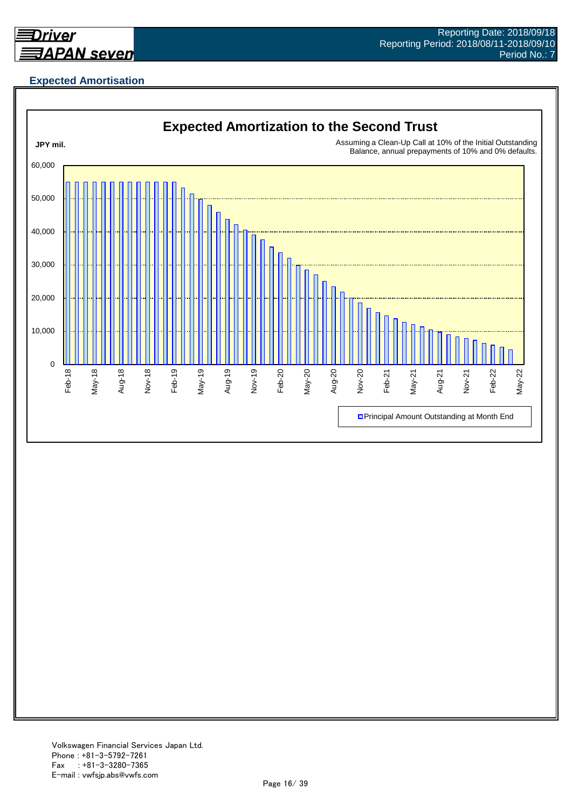

## **Expected Amortisation**

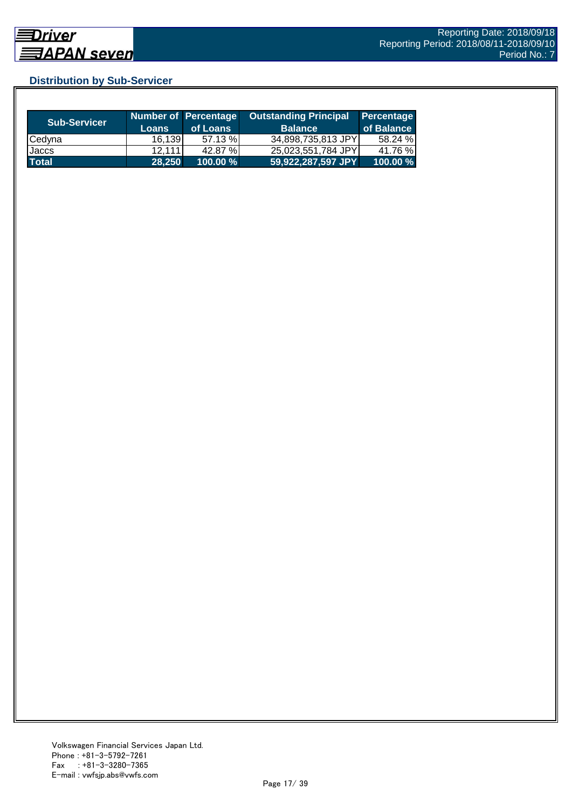## **Distribution by Sub-Servicer**

| <b>Sub-Servicer</b> | <b>Loans</b> | Number of Percentage<br>of Loans | <b>Outstanding Principal</b><br><b>Balance</b> | Percentage<br>of Balance |
|---------------------|--------------|----------------------------------|------------------------------------------------|--------------------------|
| Cedyna              | 16,139       | 57.13 %                          | 34,898,735,813 JPY                             | 58.24 %                  |
| Jaccs               | 12.111       | 42.87 %                          | 25,023,551,784 JPY                             | 41.76 %                  |
| <b>Total</b>        | 28.250       | $100.00 \%$                      | 59,922,287,597 JPY                             | 100.00 %                 |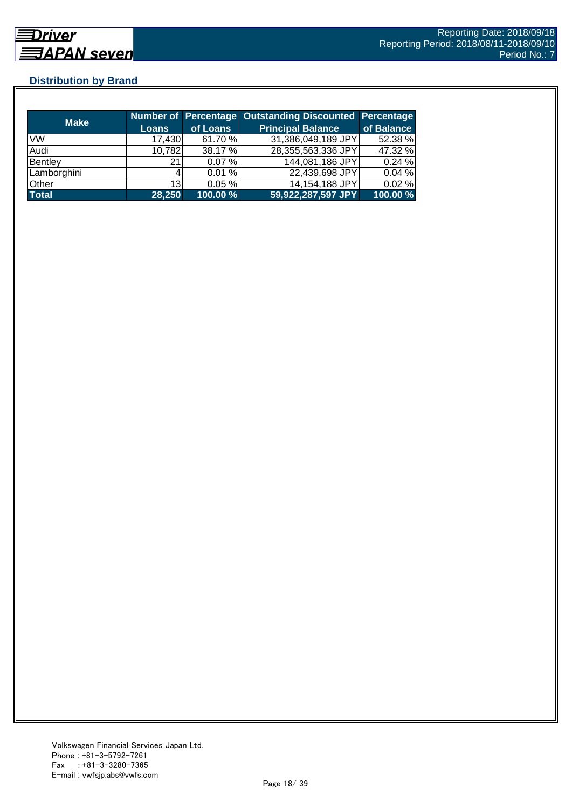## **Distribution by Brand**

| <b>Make</b>  |                 |          | Number of Percentage Outstanding Discounted Percentage |            |
|--------------|-----------------|----------|--------------------------------------------------------|------------|
|              | <b>Loans</b>    | of Loans | <b>Principal Balance</b>                               | of Balance |
| <b>VW</b>    | 17,430          | 61.70 %  | 31,386,049,189 JPY                                     | 52.38 %    |
| Audi         | 10,782          | 38.17 %  | 28,355,563,336 JPY                                     | 47.32 %    |
| Bentley      | 21              | 0.07%    | 144,081,186 JPY                                        | 0.24%      |
| Lamborghini  |                 | 0.01%    | 22,439,698 JPY                                         | 0.04%      |
| Other        | 13 <sub>l</sub> | 0.05%    | 14,154,188 JPY                                         | $0.02 \%$  |
| <b>Total</b> | 28,250          | 100.00 % | 59,922,287,597 JPY                                     | 100.00 %   |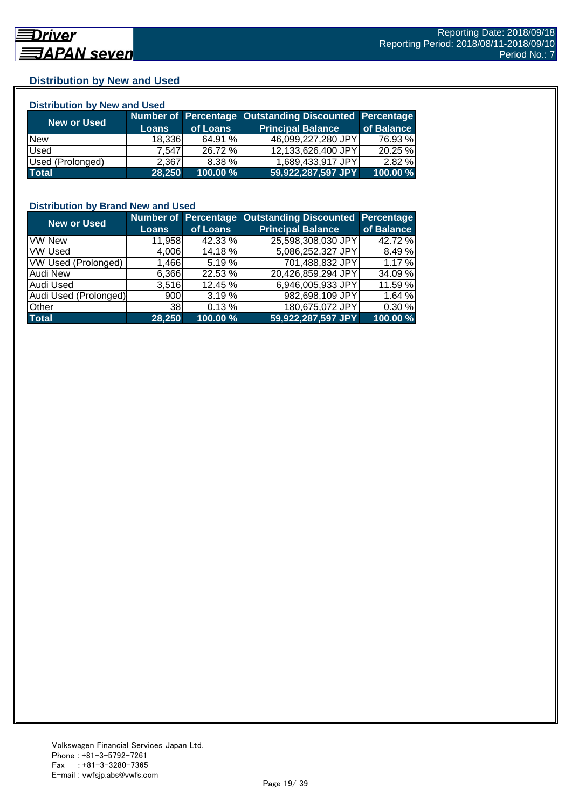### **Distribution by New and Used**

| <b>Distribution by New and Used</b> |              |          |                                                        |            |  |  |
|-------------------------------------|--------------|----------|--------------------------------------------------------|------------|--|--|
|                                     |              |          | Number of Percentage Outstanding Discounted Percentage |            |  |  |
| <b>New or Used</b>                  | <b>Loans</b> | of Loans | <b>Principal Balance</b>                               | of Balance |  |  |
| <b>New</b>                          | 18,336       | 64.91 %  | 46,099,227,280 JPY                                     | 76.93 %    |  |  |
| Used                                | 7.547        | 26.72 %  | 12,133,626,400 JPY                                     | 20.25 %    |  |  |
| Used (Prolonged)                    | 2.367        | 8.38%    | 1,689,433,917 JPY                                      | 2.82%      |  |  |
| <b>Total</b>                        | 28,250       | 100.00 % | 59,922,287,597 JPY                                     | 100.00 %   |  |  |

## **Distribution by Brand New and Used**

| <b>New or Used</b>         |              |          | Number of Percentage Outstanding Discounted | <b>Percentage</b> |
|----------------------------|--------------|----------|---------------------------------------------|-------------------|
|                            | <b>Loans</b> | of Loans | <b>Principal Balance</b>                    | of Balance        |
| <b>VW New</b>              | 11,958       | 42.33 %  | 25,598,308,030 JPY                          | 42.72 %           |
| <b>VW Used</b>             | 4,006        | 14.18 %  | 5,086,252,327 JPY                           | 8.49%             |
| <b>VW Used (Prolonged)</b> | 1,466        | 5.19%    | 701,488,832 JPY                             | 1.17 %            |
| Audi New                   | 6,366        | 22.53 %  | 20,426,859,294 JPY                          | 34.09 %           |
| Audi Used                  | 3.516        | 12.45 %  | 6,946,005,933 JPY                           | 11.59 %           |
| Audi Used (Prolonged)      | 900          | 3.19%    | 982,698,109 JPY                             | 1.64 %            |
| <b>Other</b>               | <b>38</b>    | 0.13%    | 180,675,072 JPY                             | 0.30 %            |
| <b>Total</b>               | 28,250       | 100.00 % | 59,922,287,597 JPY                          | 100.00 %          |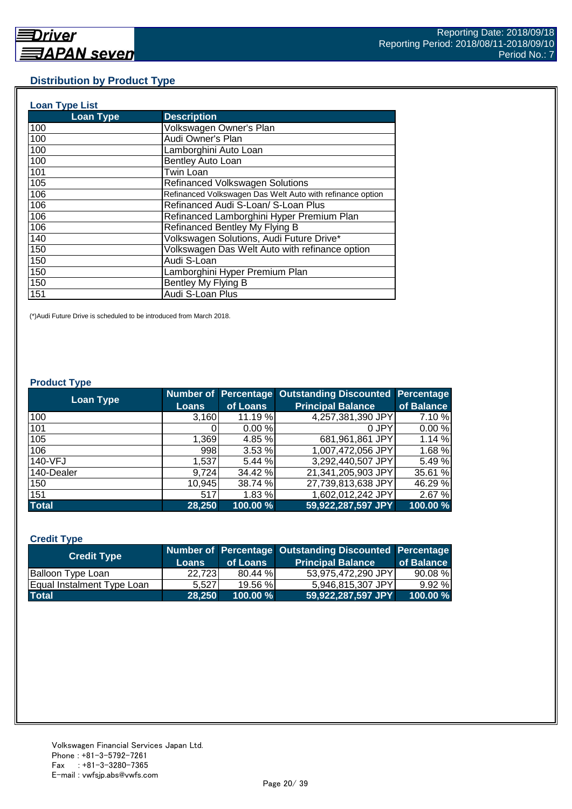#### **Distribution by Product Type**

| <b>Loan Type List</b> |                                                           |
|-----------------------|-----------------------------------------------------------|
| <b>Loan Type</b>      | <b>Description</b>                                        |
| 100                   | Volkswagen Owner's Plan                                   |
| 100                   | Audi Owner's Plan                                         |
| 100                   | Lamborghini Auto Loan                                     |
| 100                   | Bentley Auto Loan                                         |
| 101                   | Twin Loan                                                 |
| 105                   | <b>Refinanced Volkswagen Solutions</b>                    |
| 106                   | Refinanced Volkswagen Das Welt Auto with refinance option |
| 106                   | Refinanced Audi S-Loan/ S-Loan Plus                       |
| 106                   | Refinanced Lamborghini Hyper Premium Plan                 |
| 106                   | Refinanced Bentley My Flying B                            |
| 140                   | Volkswagen Solutions, Audi Future Drive*                  |
| 150                   | Volkswagen Das Welt Auto with refinance option            |
| 150                   | Audi S-Loan                                               |
| 150                   | Lamborghini Hyper Premium Plan                            |
| 150                   | Bentley My Flying B                                       |
| 151                   | Audi S-Loan Plus                                          |

(\*)Audi Future Drive is scheduled to be introduced from March 2018.

#### **Product Type**

| <b>Loan Type</b> |              |          | <b>Number of Percentage Outstanding Discounted</b> | <b>Percentage</b> |
|------------------|--------------|----------|----------------------------------------------------|-------------------|
|                  | <b>Loans</b> | of Loans | <b>Principal Balance</b>                           | of Balance        |
| 100              | 3,160        | 11.19 %  | 4,257,381,390 JPY                                  | 7.10 %            |
| 101              |              | 0.00%    | 0 JPY                                              | 0.00%             |
| 105              | 1,369        | 4.85 %   | 681,961,861 JPY                                    | 1.14 %            |
| 106              | 998          | 3.53 %   | 1,007,472,056 JPY                                  | 1.68 %            |
| 140-VFJ          | 1,537        | 5.44 %   | 3,292,440,507 JPY                                  | 5.49 %            |
| 140-Dealer       | 9.724        | 34.42 %  | 21,341,205,903 JPY                                 | 35.61 %           |
| 150              | 10,945       | 38.74 %  | 27,739,813,638 JPY                                 | 46.29 %           |
| 151              | 517          | 1.83%    | 1,602,012,242 JPY                                  | 2.67 %            |
| <b>Total</b>     | 28,250       | 100.00 % | 59,922,287,597 JPY                                 | 100.00 %          |

#### **Credit Type**

| <b>Credit Type</b>         |         |          | Number of Percentage Outstanding Discounted Percentage |            |
|----------------------------|---------|----------|--------------------------------------------------------|------------|
|                            | Loans   | of Loans | <b>Principal Balance</b>                               | of Balance |
| Balloon Type Loan          | 22.7231 | 80.44 %  | 53.975.472.290 JPYL                                    | 90.08%     |
| Equal Instalment Type Loan | 5.527   | 19.56 %  | 5.946.815.307 JPY                                      | 9.92%      |
| <b>Total</b>               | 28.250  | 100.00 % | 59,922,287,597 JPY                                     | 100.00 %   |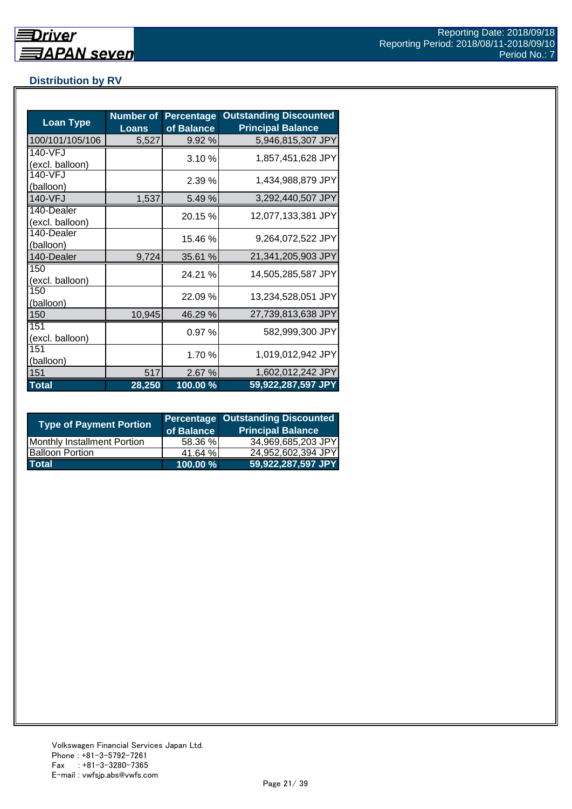## **Distribution by RV**

| <b>Loan Type</b>              | <b>Number of</b><br><b>Loans</b> | <b>Percentage</b><br>of Balance | <b>Outstanding Discounted</b><br><b>Principal Balance</b> |
|-------------------------------|----------------------------------|---------------------------------|-----------------------------------------------------------|
| 100/101/105/106               | 5,527                            | 9.92 %                          | 5,946,815,307 JPY                                         |
| 140-VFJ<br>(excl. balloon)    |                                  | 3.10%                           | 1,857,451,628 JPY                                         |
| 140-VFJ<br>(balloon)          |                                  | 2.39%                           | 1,434,988,879 JPY                                         |
| 140-VFJ                       | 1,537                            | 5.49 %                          | 3,292,440,507 JPY                                         |
| 140-Dealer<br>(excl. balloon) |                                  | 20.15 %                         | 12,077,133,381 JPY                                        |
| 140-Dealer<br>(balloon)       |                                  | 15.46 %                         | 9,264,072,522 JPY                                         |
| 140-Dealer                    | 9,724                            | 35.61 %                         | 21,341,205,903 JPY                                        |
| 150<br>(excl. balloon)        |                                  | 24.21 %                         | 14,505,285,587 JPY                                        |
| 150<br>(balloon)              |                                  | 22.09 %                         | 13,234,528,051 JPY                                        |
| 150                           | 10,945                           | 46.29 %                         | 27,739,813,638 JPY                                        |
| 151<br>(excl. balloon)        |                                  | 0.97%                           | 582,999,300 JPY                                           |
| 151<br>(balloon)              |                                  | 1.70 %                          | 1,019,012,942 JPY                                         |
| 151                           | 517                              | 2.67%                           | 1,602,012,242 JPY                                         |
| <b>Total</b>                  | 28,250                           | $100.00\%$                      | 59,922,287,597 JPY                                        |

| <b>Type of Payment Portion</b> | of Balance | <b>Percentage Outstanding Discounted</b><br><b>Principal Balance</b> |
|--------------------------------|------------|----------------------------------------------------------------------|
| Monthly Installment Portion    | 58.36 %    | 34,969,685,203 JPY                                                   |
| <b>Balloon Portion</b>         | 41.64 %    | 24,952,602,394 JPY                                                   |
| <b>Total</b>                   | 100.00 %   | 59,922,287,597 JPY                                                   |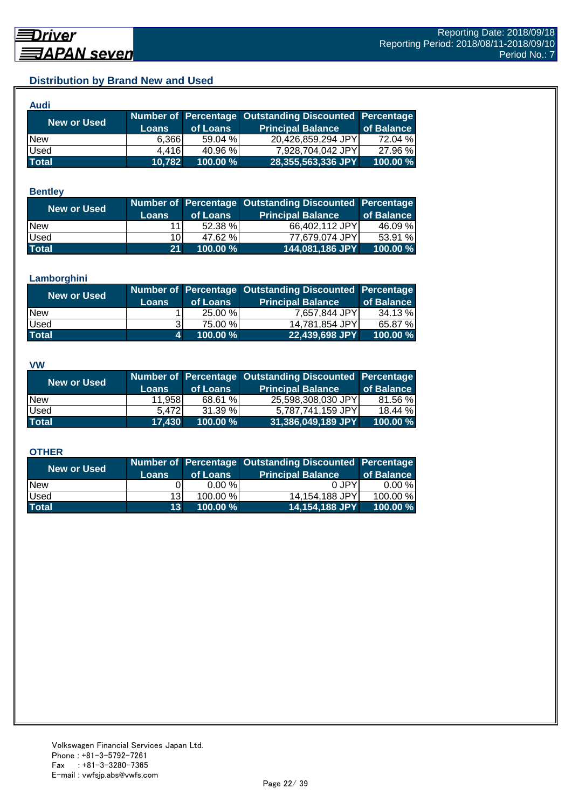## **Distribution by Brand New and Used**

| Audi         |        |             |                                                        |            |
|--------------|--------|-------------|--------------------------------------------------------|------------|
| New or Used  |        |             | Number of Percentage Outstanding Discounted Percentage |            |
|              | Loans  | of Loans    | <b>Principal Balance</b>                               | of Balance |
| <b>New</b>   | 6,366  | 59.04%      | 20,426,859,294 JPY                                     | 72.04 %    |
| Used         | 4.416  | 40.96 %     | 7,928,704,042 JPY                                      | 27.96 %    |
| <b>Total</b> | 10,782 | $100.00 \%$ | 28,355,563,336 JPY                                     | 100.00 %   |

#### **Bentley**

| New or Used  | <b>Loans</b> | of Loans | Number of Percentage Outstanding Discounted Percentage<br><b>Principal Balance</b> | of Balance |
|--------------|--------------|----------|------------------------------------------------------------------------------------|------------|
| <b>New</b>   | 11           | 52.38 %  | 66,402,112 JPYI                                                                    | 46.09 %    |
| <b>Used</b>  | 10I          | 47.62 %  | 77.679.074 JPYI                                                                    | 53.91 %    |
| <b>Total</b> | 21           | 100.00 % | 144,081,186 JPY                                                                    | 100.00 %   |

#### **Lamborghini**

| <b>New or Used</b> | <b>Loans</b> | of Loans | Number of Percentage Outstanding Discounted Percentage<br><b>Principal Balance</b> | of Balance |
|--------------------|--------------|----------|------------------------------------------------------------------------------------|------------|
| <b>New</b>         |              | 25.00 %  | 7,657,844 JPY                                                                      | 34.13 %    |
| <b>Used</b>        |              | 75.00 %  | 14,781,854 JPY                                                                     | 65.87 %    |
| <b>Total</b>       | и.           | 100.00 % | 22,439,698 JPY                                                                     | 100.00 %   |

#### **VW**

| <b>New or Used</b> |              |          | Number of Percentage Outstanding Discounted Percentage |            |
|--------------------|--------------|----------|--------------------------------------------------------|------------|
|                    | <b>Loans</b> | of Loans | <b>Principal Balance</b>                               | of Balance |
| <b>New</b>         | 11,958       | 68.61 %  | 25,598,308,030 JPY                                     | 81.56 %    |
| <b>Used</b>        | 5.472        | 31.39 %  | 5,787,741,159 JPY                                      | 18.44 %    |
| <b>Total</b>       | 17,430       | 100.00 % | 31,386,049,189 JPY                                     | 100.00 %   |

#### **OTHER**

| <b>New or Used</b> | <b>Loans</b>    | of Loans | Number of Percentage Outstanding Discounted Percentage<br><b>Principal Balance</b> | of Balance |
|--------------------|-----------------|----------|------------------------------------------------------------------------------------|------------|
| <b>New</b>         |                 | 0.00%    | 0 JPY                                                                              | $0.00 \%$  |
| <b>Used</b>        | 13              | 100.00 % | 14,154,188 JPY                                                                     | 100.00 %   |
| <b>Total</b>       | 13 <sup>1</sup> | 100.00 % | 14,154,188 JPY                                                                     | 100.00 %   |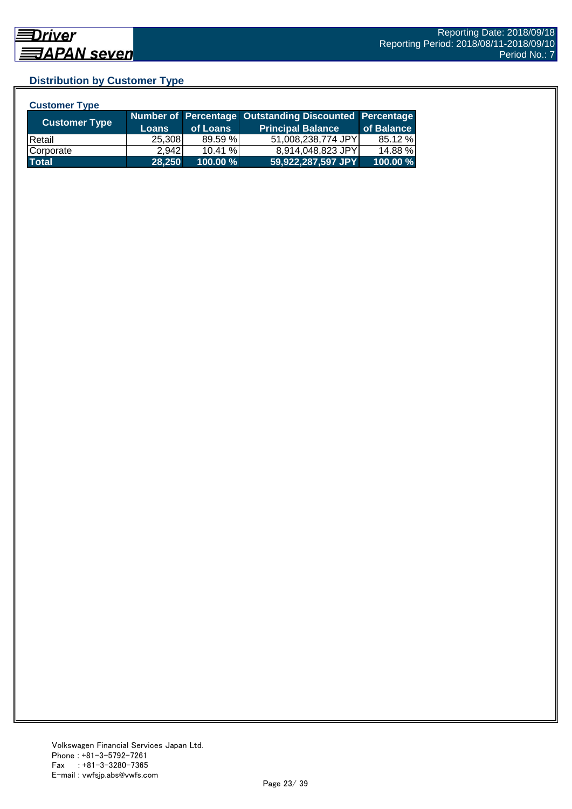## **Distribution by Customer Type**

| <b>Customer Type</b> |              |          |                                                        |            |
|----------------------|--------------|----------|--------------------------------------------------------|------------|
|                      |              |          | Number of Percentage Outstanding Discounted Percentage |            |
| <b>Customer Type</b> | <b>Loans</b> | of Loans | <b>Principal Balance</b>                               | of Balance |
| <b>IRetail</b>       | 25,308       | 89.59 %  | 51,008,238,774 JPY                                     | 85.12 %    |
| Corporate            | 2.942        | 10.41%   | 8,914,048,823 JPY                                      | 14.88 %    |
| <b>Total</b>         | 28,250       | 100.00 % | 59,922,287,597 JPY                                     | 100.00 %   |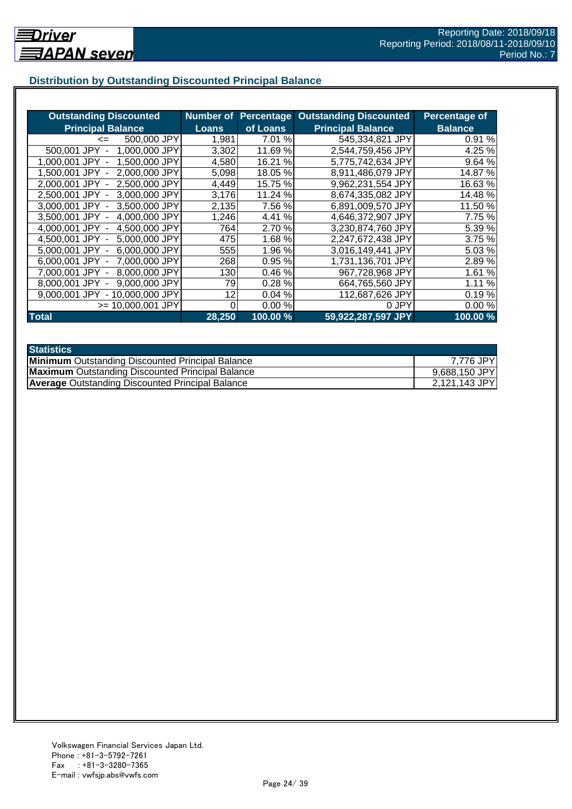## **Distribution by Outstanding Discounted Principal Balance**

| <b>Outstanding Discounted</b>      | <b>Number of</b> | <b>Percentage</b> | <b>Outstanding Discounted</b> | Percentage of  |
|------------------------------------|------------------|-------------------|-------------------------------|----------------|
| <b>Principal Balance</b>           | <b>Loans</b>     | of Loans          | <b>Principal Balance</b>      | <b>Balance</b> |
| 500,000 JPY<br>$\leq$              | 1,981            | 7.01 %            | 545,334,821 JPY               | 0.91%          |
| 500,001 JPY<br>1,000,000 JPY       | 3,302            | 11.69 %           | 2,544,759,456 JPY             | 4.25 %         |
| 1,500,000 JPY<br>1.000.001 JPY     | 4,580            | 16.21 %           | 5,775,742,634 JPY             | 9.64 %         |
| 2,000,000 JPY<br>1.500.001 JPY -   | 5,098            | 18.05%            | 8,911,486,079 JPY             | 14.87 %        |
| 2,000,001 JPY -<br>2.500,000 JPY   | 4,449            | 15.75 %           | 9,962,231,554 JPY             | 16.63%         |
| 2,500,001 JPY -<br>3,000,000 JPY   | 3,176            | 11.24 %           | 8,674,335,082 JPY             | 14.48 %        |
| 3,000,001 JPY -<br>3,500,000 JPY   | 2,135            | 7.56 %            | 6,891,009,570 JPY             | 11.50 %        |
| 4,000,000 JPY<br>3,500,001 JPY -   | 1,246            | 4.41%             | 4,646,372,907 JPY             | 7.75 %         |
| 4,500,000 JPY<br>4.000.001 JPY -   | 764l             | 2.70 %            | 3,230,874,760 JPY             | 5.39 %         |
| 5,000,000 JPY<br>4.500.001 JPY -   | 475              | 1.68%             | 2,247,672,438 JPY             | 3.75 %         |
| 6,000,000 JPY<br>5.000.001 JPY -   | 555              | 1.96 %            | 3,016,149,441 JPY             | 5.03 %         |
| 7,000,000 JPY<br>$6.000.001$ JPY - | 268              | 0.95 %            | 1,731,136,701 JPY             | 2.89%          |
| 8,000,000 JPY<br>7.000.001 JPY     | 130              | 0.46%             | 967,728,968 JPY               | 1.61 %         |
| 9,000,000 JPY<br>8.000.001 JPY     | 79               | 0.28%             | 664,765,560 JPY               | 1.11 %         |
| - 10,000,000 JPY<br>9.000.001 JPY  | 12               | 0.04%             | 112,687,626 JPY               | 0.19%          |
| $>= 10,000,001$ JPY                | 0                | 0.00%             | 0 JPY                         | 0.00%          |
| <b>Total</b>                       | 28,250           | 100.00 %          | 59,922,287,597 JPY            | 100.00 %       |

| <b>Statistics</b>                                       |               |
|---------------------------------------------------------|---------------|
| <b>Minimum</b> Outstanding Discounted Principal Balance | 7,776 JPY     |
| <b>Maximum</b> Outstanding Discounted Principal Balance | 9,688,150 JPY |
| <b>Average Outstanding Discounted Principal Balance</b> | 2,121,143 JPY |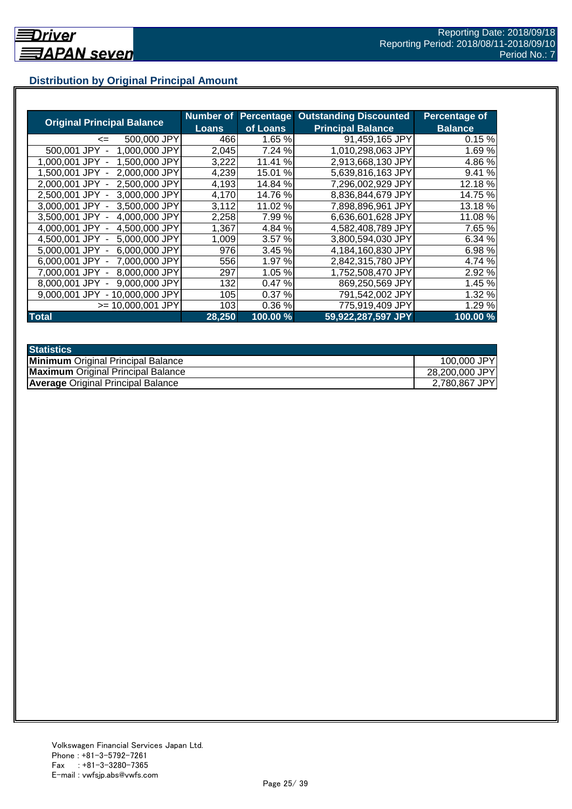## **Distribution by Original Principal Amount**

|                                           | Number of |            | <b>Percentage Outstanding Discounted</b> | <b>Percentage of</b> |
|-------------------------------------------|-----------|------------|------------------------------------------|----------------------|
| <b>Original Principal Balance</b>         | Loans     | of Loans   | <b>Principal Balance</b>                 | <b>Balance</b>       |
| 500,000 JPY<br>$\leq$                     | 466       | 1.65 %     | 91,459,165 JPY                           | 0.15%                |
| 1,000,000 JPY<br>500,001 JPY              | 2,045     | 7.24 %     | 1,010,298,063 JPY                        | 1.69%                |
| 1,500,000 JPY<br>1.000.001<br>JPY         | 3,222     | %<br>11.41 | 2,913,668,130 JPY                        | 4.86%                |
| 2.000.000 JPY<br>1.500.001 JPY            | 4,239     | 15.01 %    | 5,639,816,163 JPY                        | 9.41%                |
| 2,500,000 JPY<br>2.000.001 JPY -          | 4,193     | 14.84 %    | 7,296,002,929 JPY                        | 12.18 %              |
| 2,500,001 JPY -<br>3,000,000 JPY          | 4,170     | 14.76 %    | 8,836,844,679 JPY                        | 14.75 %              |
| 3.000.001 JPY -<br>3.500,000 JPY          | 3,112     | 11.02 %    | 7,898,896,961 JPY                        | 13.18 %              |
| 3,500,001 JPY -<br>4,000,000 JPY          | 2,258     | 7.99%      | 6.636,601,628 JPY                        | 11.08 %              |
| 4,500,000 JPY<br>4.000.001 JPY -          | 1,367     | 4.84 %     | 4,582,408,789 JPY                        | 7.65 %               |
| 4.500.001 JPY -<br>5,000,000 JPY          | 1,009     | 3.57%      | 3,800,594,030 JPY                        | 6.34%                |
| 6,000,000 JPY<br>5.000.001 JPY -          | 976       | 3.45 %     | 4,184,160,830 JPY                        | 6.98 %               |
| 7,000,000 JPY<br>6.000.001 JPY -          | 556       | 1.97 %     | 2,842,315,780 JPY                        | 4.74 %               |
| 8,000,000 JPY<br>7.000.001 JPY            | 297       | 1.05 %     | 1,752,508,470 JPY                        | 2.92 %               |
| 9,000,000 JPY<br>8.000.001 JPY            | 132       | 0.47%      | 869,250,569 JPY                          | 1.45 %               |
| 9.000.001 JPY<br>10.000.000 JPY<br>$\sim$ | 105       | 0.37%      | 791,542,002 JPY                          | 1.32 %               |
| >= 10.000.001 JPY                         | 103       | 0.36%      | 775,919,409 JPY                          | 1.29 %               |
| <b>Total</b>                              | 28,250    | 100.00 %   | 59,922,287,597 JPY                       | 100.00%              |

| <b>Statistics</b>                         |                |
|-------------------------------------------|----------------|
| <b>Minimum</b> Original Principal Balance | 100,000 JPY    |
| <b>Maximum</b> Original Principal Balance | 28,200,000 JPY |
| <b>Average Original Principal Balance</b> | 2,780,867 JPY  |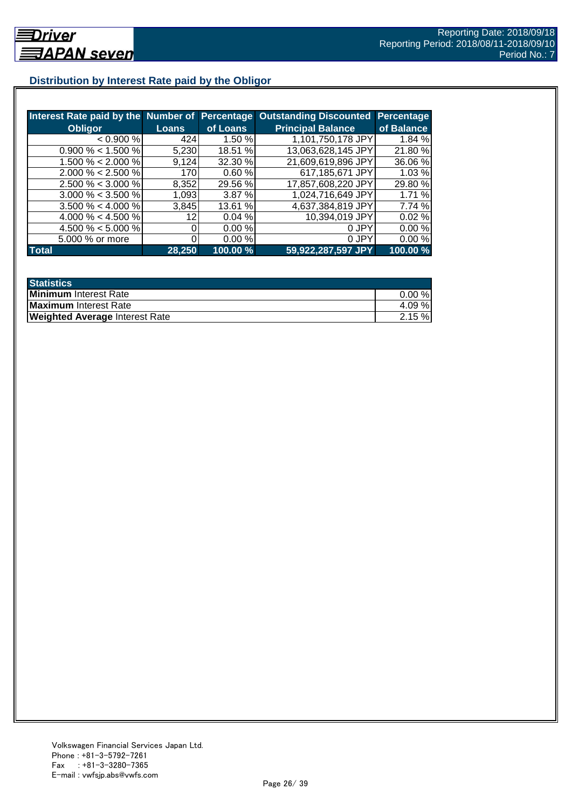## **Distribution by Interest Rate paid by the Obligor**

| Interest Rate paid by the Number of Percentage |              |          | <b>Outstanding Discounted</b> | <b>Percentage</b> |
|------------------------------------------------|--------------|----------|-------------------------------|-------------------|
| <b>Obligor</b>                                 | <b>Loans</b> | of Loans | <b>Principal Balance</b>      | of Balance        |
| < 0.900 %                                      | 424          | 1.50%    | 1,101,750,178 JPY             | 1.84 %            |
| $0.900\% < 1.500\%$                            | 5,230        | 18.51 %  | 13,063,628,145 JPY            | 21.80%            |
| $1.500\% < 2.000\%$                            | 9.124        | 32.30 %  | 21,609,619,896 JPY            | 36.06 %           |
| $2.000\% < 2.500\%$                            | 170          | 0.60%    | 617,185,671 JPY               | 1.03%             |
| $2.500\% < 3.000\%$                            | 8,352        | 29.56 %  | 17,857,608,220 JPY            | 29.80 %           |
| $3.000\% < 3.500\%$                            | 1,093        | 3.87%    | 1,024,716,649 JPY             | 1.71 %            |
| $3.500\% < 4.000\%$                            | 3.845        | 13.61 %  | 4,637,384,819 JPY             | 7.74 %            |
| 4.000 % < 4.500 %                              | 12           | 0.04%    | 10,394,019 JPY                | 0.02%             |
| 4.500 % < 5.000 %                              |              | 0.00 %   | 0 JPY                         | 0.00%             |
| 5.000 % or more                                |              | 0.00%    | 0 JPY                         | 0.00%             |
| <b>Total</b>                                   | 28.250       | 100.00 % | 59,922,287,597 JPY            | 100.00 %          |

| <b>Statistics</b>                     |           |
|---------------------------------------|-----------|
| Minimum Interest Rate                 | $0.00 \%$ |
| <b>Maximum</b> Interest Rate          | 4.09%     |
| <b>Weighted Average Interest Rate</b> | 2.15%     |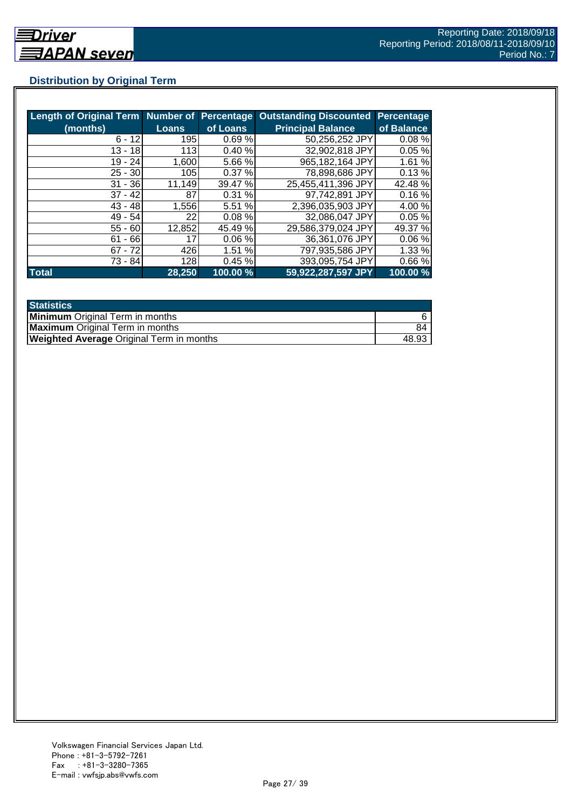## **Distribution by Original Term**

| Length of Original Term Number of Percentage |        |          | <b>Outstanding Discounted</b> | <b>Percentage</b> |
|----------------------------------------------|--------|----------|-------------------------------|-------------------|
| (months)                                     | Loans  | of Loans | <b>Principal Balance</b>      | of Balance        |
| $6 - 12$                                     | 195    | 0.69%    | 50,256,252 JPY                | 0.08%             |
| $13 - 18$                                    | 113    | 0.40%    | 32,902,818 JPY                | 0.05%             |
| 19 - 24                                      | 1,600  | 5.66 %   | 965,182,164 JPY               | 1.61%             |
| $25 - 30$                                    | 105    | 0.37%    | 78,898,686 JPY                | 0.13%             |
| $31 - 36$                                    | 11,149 | 39.47 %  | 25,455,411,396 JPY            | 42.48 %           |
| $37 - 42$                                    | 87     | 0.31%    | 97,742,891 JPY                | 0.16%             |
| $43 - 48$                                    | 1,556  | 5.51 %   | 2,396,035,903 JPY             | 4.00 %            |
| $49 - 54$                                    | 22     | 0.08%    | 32,086,047 JPY                | 0.05%             |
| $55 - 60$                                    | 12,852 | 45.49 %  | 29,586,379,024 JPY            | 49.37 %           |
| $61 - 66$                                    | 17     | 0.06%    | 36,361,076 JPY                | 0.06%             |
| $67 - 72$                                    | 426    | 1.51 %   | 797,935,586 JPY               | 1.33%             |
| 73 - 84                                      | 128    | 0.45%    | 393,095,754 JPY               | 0.66%             |
| <b>Total</b>                                 | 28,250 | 100.00 % | 59,922,287,597 JPY            | 100.00 %          |

| <b>Statistics</b>                               |       |
|-------------------------------------------------|-------|
| <b>Minimum</b> Original Term in months          |       |
| <b>Maximum</b> Original Term in months          | 84    |
| <b>Weighted Average Original Term in months</b> | 48.93 |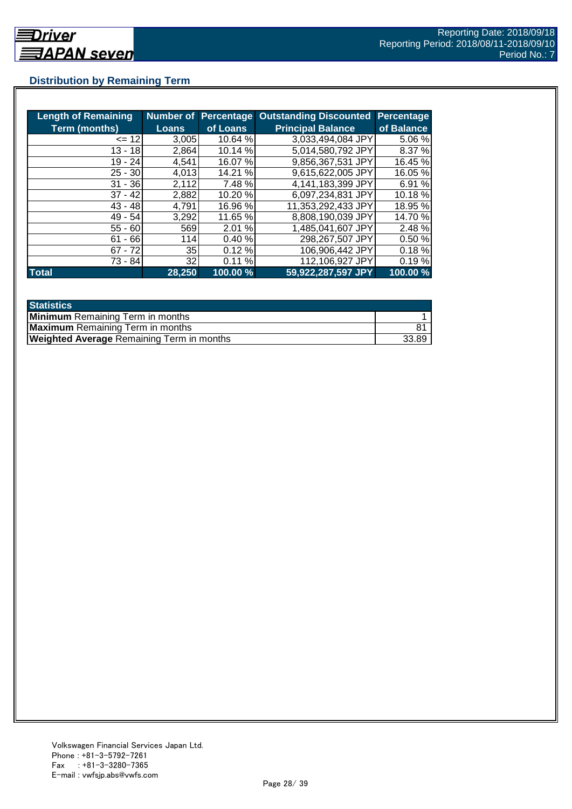## **Distribution by Remaining Term**

| <b>Length of Remaining</b> |                 |          | <b>Number of Percentage Outstanding Discounted</b> | <b>Percentage</b> |
|----------------------------|-----------------|----------|----------------------------------------------------|-------------------|
| <b>Term (months)</b>       | <b>Loans</b>    | of Loans | <b>Principal Balance</b>                           | of Balance        |
| $= 12$                     | 3,005           | 10.64 %  | 3,033,494,084 JPY                                  | 5.06 %            |
| $13 - 18$                  | 2,864           | 10.14 %  | 5,014,580,792 JPY                                  | 8.37 %            |
| 19 - 24                    | 4,541           | 16.07 %  | 9,856,367,531 JPY                                  | 16.45 %           |
| $25 - 30$                  | 4,013           | 14.21 %  | 9.615,622,005 JPY                                  | 16.05 %           |
| $31 - 36$                  | 2,112           | 7.48 %   | 4,141,183,399 JPY                                  | 6.91 %            |
| $37 - 42$                  | 2,882           | 10.20 %  | 6,097,234,831 JPY                                  | 10.18 %           |
| $43 - 48$                  | 4,791           | 16.96 %  | 11,353,292,433 JPY                                 | 18.95 %           |
| $49 - 54$                  | 3.292           | 11.65 %  | 8,808,190,039 JPY                                  | 14.70 %           |
| $55 - 60$                  | 569             | 2.01 %   | 1,485,041,607 JPY                                  | 2.48 %            |
| $61 - 66$                  | 114             | 0.40%    | 298,267,507 JPY                                    | 0.50%             |
| $67 - 72$                  | 35 <sub>l</sub> | 0.12%    | 106,906,442 JPY                                    | 0.18%             |
| 73 - 84                    | 32              | 0.11%    | 112,106,927 JPY                                    | 0.19%             |
| <b>Total</b>               | 28,250          | 100.00 % | 59,922,287,597 JPY                                 | 100.00 %          |

| <b>Statistics</b>                                |       |
|--------------------------------------------------|-------|
| <b>Minimum</b> Remaining Term in months          |       |
| <b>Maximum</b> Remaining Term in months          |       |
| <b>Weighted Average Remaining Term in months</b> | 33.89 |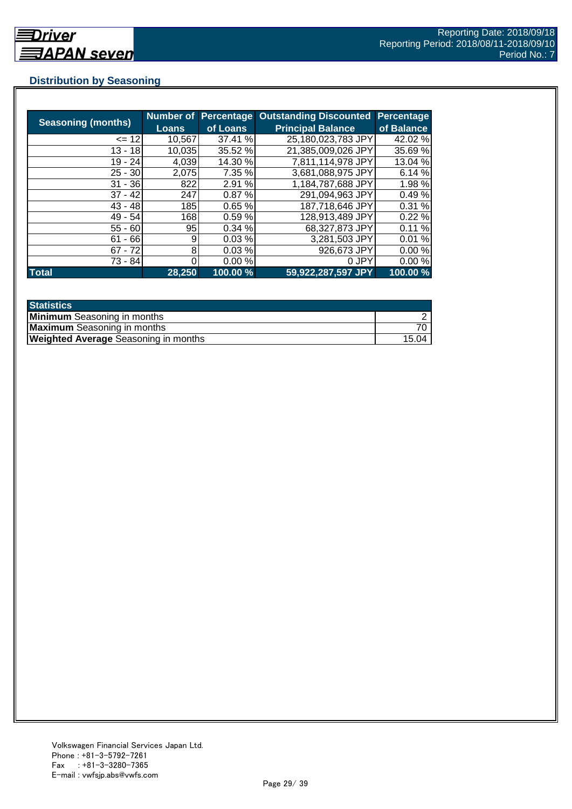## **Distribution by Seasoning**

| <b>Seasoning (months)</b> |              | <b>Number of Percentage</b> | <b>Outstanding Discounted</b> | <b>Percentage</b> |
|---------------------------|--------------|-----------------------------|-------------------------------|-------------------|
|                           | <b>Loans</b> | of Loans                    | <b>Principal Balance</b>      | of Balance        |
| $= 12$                    | 10,567       | 37.41 %                     | 25,180,023,783 JPY            | 42.02 %           |
| $13 - 18$                 | 10,035       | 35.52 %                     | 21,385,009,026 JPY            | 35.69 %           |
| $19 - 24$                 | 4,039        | 14.30 %                     | 7,811,114,978 JPY             | 13.04 %           |
| $25 - 30$                 | 2,075        | 7.35 %                      | 3,681,088,975 JPY             | 6.14 %            |
| $31 - 36$                 | 822          | 2.91 %                      | 1,184,787,688 JPY             | 1.98%             |
| $37 - 42$                 | 247          | 0.87%                       | 291,094,963 JPY               | 0.49%             |
| $43 - 48$                 | 185          | 0.65%                       | 187,718,646 JPY               | 0.31%             |
| $49 - 54$                 | 168l         | 0.59%                       | 128,913,489 JPY               | 0.22%             |
| $55 - 60$                 | 95           | 0.34%                       | 68,327,873 JPY                | 0.11%             |
| $61 - 66$                 | 9            | 0.03%                       | 3,281,503 JPY                 | 0.01%             |
| $67 - 72$                 | 8            | 0.03%                       | 926,673 JPY                   | 0.00%             |
| 73 - 84                   |              | 0.00%                       | 0 JPY                         | 0.00%             |
| <b>Total</b>              | 28,250       | 100.00 %                    | 59,922,287,597 JPY            | 100.00 %          |

| <b>Statistics</b>                           |       |
|---------------------------------------------|-------|
| <b>Minimum</b> Seasoning in months          |       |
| <b>Maximum</b> Seasoning in months          |       |
| <b>Weighted Average Seasoning in months</b> | 15.04 |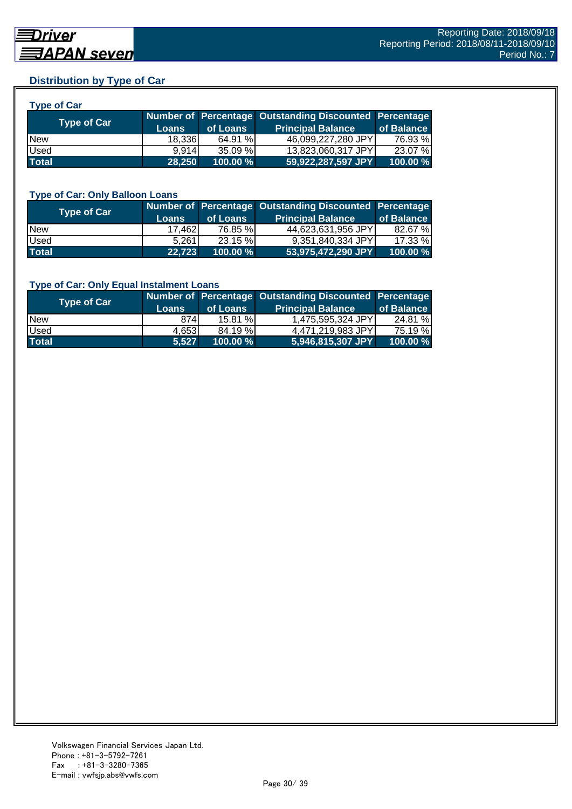## **Distribution by Type of Car**

| <b>Type of Car</b> |        |          |                                                        |            |
|--------------------|--------|----------|--------------------------------------------------------|------------|
| <b>Type of Car</b> |        |          | Number of Percentage Outstanding Discounted Percentage |            |
|                    | Loans  | of Loans | <b>Principal Balance</b>                               | of Balance |
| <b>New</b>         | 18,336 | 64.91 %  | 46,099,227,280 JPY                                     | 76.93 %    |
| Used               | 9.914  | 35.09 %  | 13,823,060,317 JPY                                     | 23.07 %    |
| <b>Total</b>       | 28.250 | 100.00 % | 59,922,287,597 JPY                                     | 100.00 %   |

#### **Type of Car: Only Balloon Loans**

| Type of Car  | <b>Loans</b>    | of Loans    | Number of Percentage Outstanding Discounted Percentage<br><b>Principal Balance</b> | of Balance |
|--------------|-----------------|-------------|------------------------------------------------------------------------------------|------------|
| <b>New</b>   | 17.462 <b>1</b> | 76.85 %     | 44.623.631.956 JPYI                                                                | 82.67 %    |
| Used         | 5.261           | $23.15 \%$  | 9.351.840.334 JPY                                                                  | 17.33 %    |
| <b>Total</b> | 22,723          | $100.00 \%$ | 53,975,472,290 JPY                                                                 | 100.00%    |

#### **Type of Car: Only Equal Instalment Loans**

| <b>Type of Car</b> | <b>Loans</b> | of Loans    | Number of Percentage Outstanding Discounted Percentage<br><b>Principal Balance</b> | of Balance |
|--------------------|--------------|-------------|------------------------------------------------------------------------------------|------------|
| <b>New</b>         | 874          | 15.81%      | 1,475,595,324 JPY                                                                  | 24.81 %    |
| Used               | 4.653        | 84.19%      | 4.471.219.983 JPYI                                                                 | 75.19 %।   |
| <b>Total</b>       | 5.527        | $100.00 \%$ | 5,946,815,307 JPY                                                                  | 100.00 %   |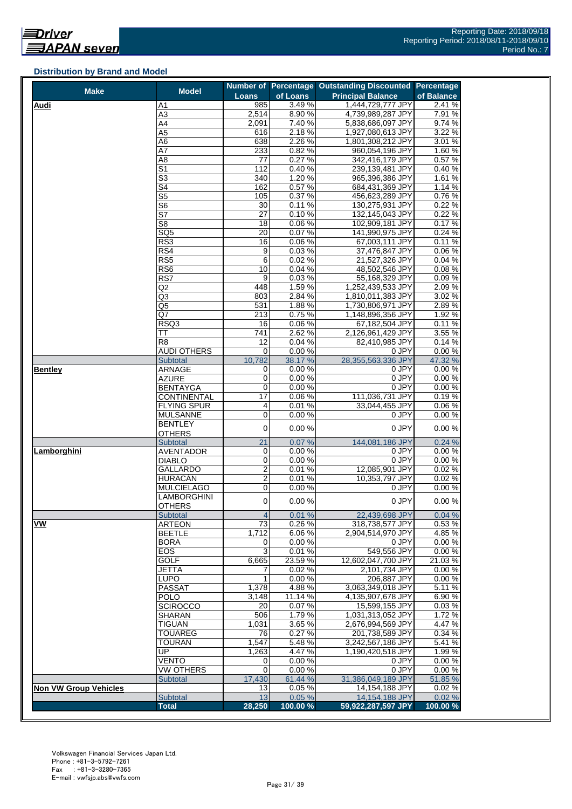#### **Distribution by Brand and Model**

| <b>Make</b>                  | <b>Model</b>              |                         |                  | Number of Percentage Outstanding Discounted Percentage |                  |
|------------------------------|---------------------------|-------------------------|------------------|--------------------------------------------------------|------------------|
|                              |                           | Loans                   | of Loans         | <b>Principal Balance</b>                               | of Balance       |
| <b>Audi</b>                  | Α1                        | 985                     | 3.49%            | 1,444,729,777 JPY                                      | 2.41%            |
|                              | A3                        | 2,514                   | 8.90%            | 4,739,989,287 JPY                                      | 7.91 %           |
|                              | A4<br>A5                  | 2,091<br>616            | 7.40%<br>2.18%   | 5,838,686,097 JPY<br>1,927,080,613 JPY                 | 9.74 %<br>3.22 % |
|                              | A6                        | 638                     | 2.26 %           | 1,801,308,212 JPY                                      | 3.01 %           |
|                              | A7                        | 233                     | 0.82%            | 960,054,196 JPY                                        | 1.60%            |
|                              | A8                        | 77                      | 0.27%            | 342,416,179 JPY                                        | 0.57 %           |
|                              | S1                        | 112                     | 0.40%            | 239,139,481 JPY                                        | 0.40%            |
|                              | $\overline{\mathbb{S}^3}$ | 340                     | 1.20%            | 965,396,386 JPY                                        | 1.61%            |
|                              | S4                        | 162                     | 0.57%            | 684,431,369 JPY                                        | 1.14 %           |
|                              | $\overline{\text{S5}}$    | 105                     | 0.37%            | 456,623,289 JPY                                        | 0.76%            |
|                              | S <sub>6</sub>            | 30                      | 0.11%            | 130,275,931 JPY                                        | 0.22%            |
|                              | S7                        | 27                      | 0.10%            | 132,145,043 JPY                                        | 0.22%            |
|                              | S8                        | 18                      | 0.06%            | 102,909,181 JPY                                        | 0.17%            |
|                              | $\overline{SQ5}$          | $\overline{20}$         | 0.07%            | 141,990,975 JPY                                        | 0.24 %           |
|                              | RS3                       | 16                      | 0.06%            | 67,003,111 JPY                                         | 0.11%            |
|                              | RS4                       | 9                       | 0.03%            | 37,476,847 JPY                                         | 0.06%            |
|                              | RS5                       | 6                       | 0.02%            | 21,527,326 JPY                                         | 0.04%            |
|                              | RS6                       | 10                      | 0.04%            | 48,502,546 JPY                                         | 0.08%            |
|                              | RS7                       | 9                       | 0.03%            | 55,168,329 JPY                                         | 0.09%            |
|                              | Q2                        | 448                     | 1.59%            | 1,252,439,533 JPY                                      | 2.09%            |
|                              | Q3                        | 803                     | 2.84 %           | 1,810,011,383 JPY                                      | 3.02 %           |
|                              | Q5                        | 531                     | 1.88%            | 1,730,806,971 JPY                                      | 2.89%            |
|                              | Q7                        | 213                     | 0.75%            | 1,148,896,356 JPY                                      | 1.92 %           |
|                              | RSQ3                      | 16                      | 0.06%            | 67,182,504 JPY                                         | 0.11%            |
|                              | ТT                        | 741                     | 2.62%            | 2,126,961,429 JPY                                      | 3.55 %           |
|                              | R <sub>8</sub>            | 12                      | 0.04%            | 82,410,985 JPY                                         | 0.14%            |
|                              | <b>AUDI OTHERS</b>        | 0                       | 0.00%            | 0 JPY                                                  | 0.00%            |
|                              | <b>Subtotal</b>           | 10,782                  | 38.17 %          | 28,355,563,336 JPY                                     | 47.32 %          |
| <b>Bentley</b>               | <b>ARNAGE</b>             | $\mathbf 0$<br>0        | 0.00%            | 0 JPY<br>0 JPY                                         | 0.00%            |
|                              | AZURE<br><b>BENTAYGA</b>  | 0                       | 0.00%<br>0.00%   | 0 JPY                                                  | 0.00%<br>0.00%   |
|                              | CONTINENTAL               | $\overline{17}$         | 0.06%            | 111,036,731 JPY                                        | 0.19%            |
|                              | FLYING SPUR               | 4                       | 0.01%            | 33,044,455 JPY                                         | 0.06%            |
|                              | <b>MULSANNE</b>           | 0                       | 0.00%            | 0 JPY                                                  | 0.00%            |
|                              | BENTLEY                   |                         |                  |                                                        |                  |
|                              | <b>OTHERS</b>             | $\mathbf 0$             | 0.00%            | 0 JPY                                                  | 0.00%            |
|                              | Subtotal                  | 21                      | 0.07%            | 144,081,186 JPY                                        | 0.24%            |
| Lamborghini                  | <b>AVENTADOR</b>          | 0                       | 0.00%            | 0 JPY                                                  | 0.00%            |
|                              | <b>DIABLO</b>             | 0                       | 0.00%            | 0 JPY                                                  | 0.00%            |
|                              | GALLARDO                  | $\overline{2}$          | 0.01%            | 12,085,901 JPY                                         | 0.02%            |
|                              | HURACÁN                   | $\overline{\mathbf{c}}$ | 0.01%            | 10.353.797 JPY                                         | 0.02%            |
|                              | <b>MULCIELAGO</b>         | 0                       | 0.00%            | 0 JPY                                                  | 0.00%            |
|                              | LAMBORGHINI               | $\mathbf 0$             | 0.00%            | 0 JPY                                                  | 0.00%            |
|                              | <b>OTHERS</b>             |                         |                  |                                                        |                  |
|                              | <b>Subtotal</b>           | $\overline{4}$          | 0.01%            | 22,439,698 JPY                                         | 0.04%            |
| VW                           | <b>ARTEON</b>             | $\overline{73}$         | 0.26%            | 318,738,577 JPY                                        | 0.53%            |
|                              | <b>BEETLE</b>             | 1,712                   | 6.06%            | 2,904,514,970 JPY                                      | 4.85 %           |
|                              | <b>BORA</b>               | 0                       | 0.00%            | 0 JPY                                                  | 0.00%            |
|                              | EOS                       | 3                       | 0.01%            | 549,556 JPY                                            | 0.00%            |
|                              | <b>GOLF</b>               | 6,665                   | 23.59%           | 12,602,047,700 JPY                                     | 21.03%           |
|                              | JETTA                     | 7                       | 0.02%            | 2.101.734 JPY                                          | 0.00%            |
|                              | LUPO                      | 1                       | 0.00%            | 206,887 JPY                                            | 0.00%            |
|                              | <b>PASSAT</b>             | 1,378                   | 4.88%            | 3,063,349,018 JPY                                      | 5.11 %           |
|                              | POLO<br><b>SCIROCCO</b>   | 3,148<br>20             | 11.14 %<br>0.07% | 4,135,907,678 JPY<br>15,599,155 JPY                    | 6.90%<br>0.03%   |
|                              | <b>SHARAN</b>             | 506                     | 1.79%            | 1,031,313,052 JPY                                      | 1.72%            |
|                              | <b>TIGUAN</b>             | 1,031                   | 3.65%            | 2,676,994,569 JPY                                      | 4.47%            |
|                              | <b>TOUAREG</b>            | 76                      | 0.27%            | 201,738,589 JPY                                        | 0.34 %           |
|                              | TOURAN                    | 1,547                   | 5.48%            | 3,242,567,186 JPY                                      | 5.41 %           |
|                              | UP                        | 1,263                   | 4.47%            | 1,190,420,518 JPY                                      | 1.99%            |
|                              | VENTO                     | 0                       | 0.00%            | 0 JPY                                                  | 0.00%            |
|                              | <b>VW OTHERS</b>          | 0                       | 0.00%            | 0 JPY                                                  | 0.00%            |
|                              | <b>Subtotal</b>           | 17,430                  | 61.44 %          | 31,386,049,189 JPY                                     | 51.85 %          |
| <b>Non VW Group Vehicles</b> |                           | 13                      | 0.05%            | 14,154,188 JPY                                         | 0.02%            |
|                              | Subtotal                  | 13                      | 0.05%            | 14,154,188 JPY                                         | 0.02%            |
|                              | <b>Total</b>              | 28,250                  | 100.00 %         | 59,922,287,597 JPY                                     | 100.00 %         |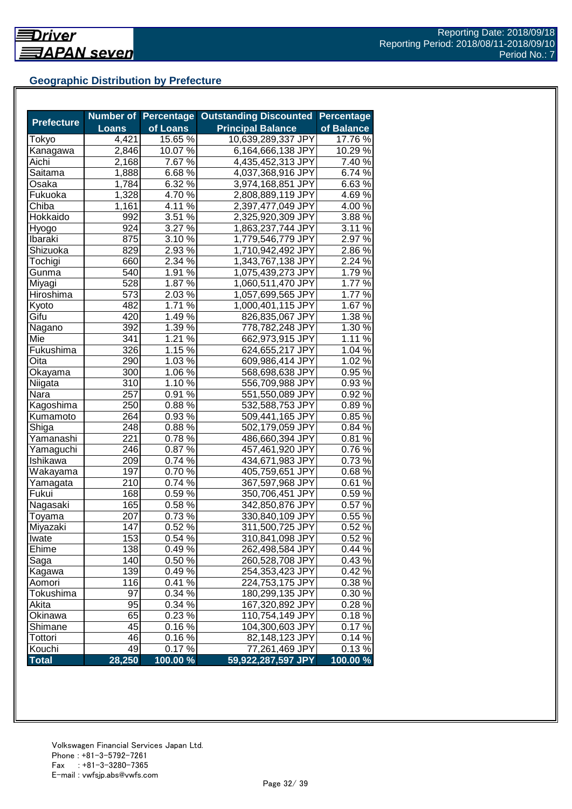## **Geographic Distribution by Prefecture**

|                   | Number of    |                  | <b>Percentage Outstanding Discounted</b> | <b>Percentage</b>   |
|-------------------|--------------|------------------|------------------------------------------|---------------------|
| <b>Prefecture</b> | <b>Loans</b> | of Loans         | <b>Principal Balance</b>                 | of Balance          |
| Tokyo             | 4,421        | 15.65 %          | 10,639,289,337 JPY                       | 17.76 %             |
| Kanagawa          | 2,846        | 10.07%           | 6,164,666,138 JPY                        | 10.29%              |
| Aichi             | 2,168        | 7.67 %           | 4,435,452,313 JPY                        | 7.40 %              |
| Saitama           | 1,888        | 6.68%            | 4,037,368,916 JPY                        | 6.74%               |
| Osaka             | 1,784        | 6.32 %           | 3,974,168,851 JPY                        | 6.63%               |
| Fukuoka           | 1,328        | $4.70\%$         | 2,808,889,119 JPY                        | 4.69%               |
| Chiba             | 1,161        | 4.11 $\sqrt{6}$  | 2,397,477,049 JPY                        | $4.00\,\frac{6}{6}$ |
| Hokkaido          | 992          | $3.51\%$         | 2,325,920,309 JPY                        | 3.88%               |
| Hyogo             | 924          | 3.27 %           | 1,863,237,744 JPY                        | 3.11%               |
| Ibaraki           | 875          | $3.10\,\%$       | 1,779,546,779 JPY                        | 2.97 %              |
| Shizuoka          | 829          | 2.93 %           | 1,710,942,492 JPY                        | 2.86%               |
| Tochigi           | 660          | 2.34 %           | 1,343,767,138 JPY                        | 2.24 %              |
| Gunma             | 540          | 1.91 %           | 1,075,439,273 JPY                        | 1.79%               |
| Miyagi            | 528          | 1.87 %           | 1,060,511,470 JPY                        | 1.77 %              |
| Hiroshima         | 573          | 2.03 %           | 1,057,699,565 JPY                        | 1.77 %              |
| Kyoto             | 482          | 1.71 %           | 1,000,401,115 JPY                        | 1.67%               |
| Gifu              | 420          | 1.49 %           | 826,835,067 JPY                          | 1.38 %              |
| Nagano            | 392          | 1.39 %           | 778,782,248 JPY                          | 1.30 %              |
| Mie               | 341          | 1.21 %           | 662,973,915 JPY                          | 1.11%               |
| Fukushima         | 326          | $1.15\,\sqrt{2}$ | 624,655,217 JPY                          | $1.04\%$            |
| Oita              | 290          | 1.03 %           | 609,986,414 JPY                          | 1.02 %              |
| Okayama           | 300          | $1.06\%$         | 568,698,638 JPY                          | 0.95%               |
| Niigata           | 310          | $1.10\%$         | 556,709,988 JPY                          | 0.93%               |
| Nara              | 257          | 0.91 %           | 551,550,089 JPY                          | 0.92%               |
| Kagoshima         | 250          | 0.88%            | 532,588,753 JPY                          | $0.89\%$            |
| Kumamoto          | 264          | 0.93%            | 509,441,165 JPY                          | 0.85%               |
| Shiga             | 248          | 0.88%            | 502,179,059 JPY                          | 0.84 %              |
| Yamanashi         | 221          | 0.78%            | 486,660,394 JPY                          | 0.81%               |
| Yamaguchi         | 246          | 0.87%            | 457,461,920 JPY                          | 0.76%               |
| Ishikawa          | 209          | 0.74 %           | 434,671,983 JPY                          | 0.73%               |
| Wakayama          | 197          | 0.70%            | 405,759,651 JPY                          | 0.68%               |
| Yamagata          | 210          | 0.74 %           | 367,597,968 JPY                          | 0.61%               |
| Fukui             | 168          | $0.59\sqrt{2}$   | 350,706,451 JPY                          | $0.59\%$            |
| Nagasaki          | 165          | 0.58 %           | 342,850,876 JPY                          | 0.57%               |
| Toyama            | 207          | 0.73%            | 330,840,109 JPY                          | 0.55 %              |
| Miyazaki          | 147          | 0.52%            | 311,500,725 JPY                          | 0.52%               |
| Iwate             | 153          | 0.54%            | 310,841,098 JPY                          | 0.52%               |
| Ehime             | 138          | 0.49%            | 262,498,584 JPY                          | 0.44%               |
| Saga              | 140          | 0.50%            | 260,528,708 JPY                          | 0.43%               |
| Kagawa            | 139          | 0.49%            | 254,353,423 JPY                          | 0.42%               |
| Aomori            | 116          | 0.41%            | 224,753,175 JPY                          | 0.38%               |
| Tokushima         | 97           | 0.34 %           | 180,299,135 JPY                          | 0.30 %              |
| Akita             | 95           | 0.34 %           | 167,320,892 JPY                          | 0.28%               |
| Okinawa           | 65           | 0.23 %           | 110,754,149 JPY                          | 0.18%               |
| Shimane           | 45           | $0.16\,\sqrt{2}$ | 104,300,603 JPY                          | 0.17%               |
| Tottori           | 46           | 0.16%            | 82,148,123 JPY                           | 0.14%               |
| Kouchi            | 49           | 0.17%            | 77,261,469 JPY                           | 0.13%               |
| <b>Total</b>      | 28,250       | 100.00 %         | 59,922,287,597 JPY                       | 100.00%             |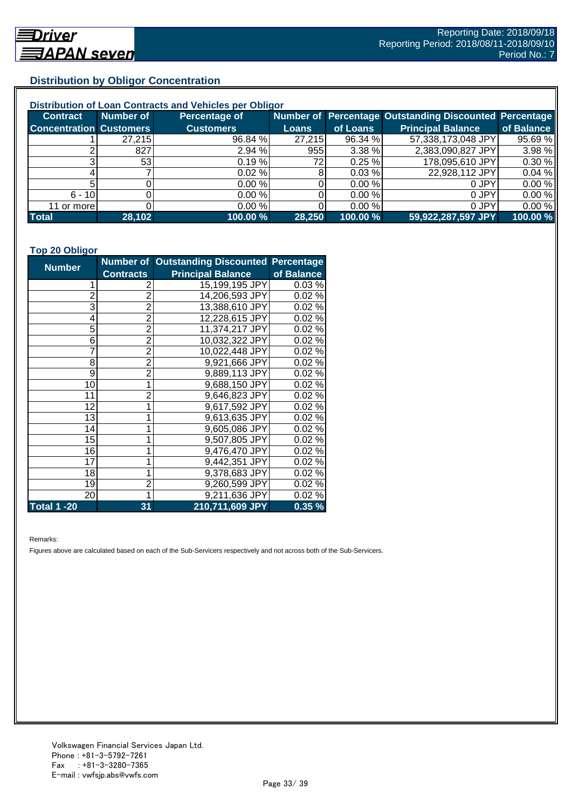## **Distribution by Obligor Concentration**

| Distribution of Loan Contracts and Vehicles per Obligor |                 |                      |        |          |                                                        |            |  |
|---------------------------------------------------------|-----------------|----------------------|--------|----------|--------------------------------------------------------|------------|--|
| <b>Contract</b>                                         | Number of       | <b>Percentage of</b> |        |          | Number of Percentage Outstanding Discounted Percentage |            |  |
| <b>Concentration Customers</b>                          |                 | <b>Customers</b>     | Loans  | of Loans | <b>Principal Balance</b>                               | of Balance |  |
|                                                         | 27,215          | 96.84 %              | 27,215 | 96.34 %  | 57,338,173,048 JPY                                     | 95.69 %    |  |
|                                                         | 827             | 2.94%                | 955    | 3.38%    | 2,383,090,827 JPY                                      | 3.98 %     |  |
| ົ                                                       | 53 <sub>l</sub> | 0.19%                | 72I    | 0.25%    | 178,095,610 JPY                                        | 0.30%      |  |
|                                                         |                 | 0.02%                |        | 0.03%    | 22,928,112 JPY                                         | 0.04%      |  |
|                                                         |                 | 0.00%                |        | 0.00%    | 0 JPY                                                  | 0.00%      |  |
| $6 - 10$                                                |                 | 0.00%                |        | 0.00 %   | 0 JPY                                                  | 0.00%      |  |
| 11 or more                                              |                 | 0.00%                |        | 0.00 %   | 0 JPY                                                  | 0.00%      |  |
| <b>Total</b>                                            | 28,102          | 100.00 %             | 28,250 | 100.00 % | 59,922,287,597 JPY                                     | 100.00 %   |  |

#### **Top 20 Obligor**

| <b>Number</b>      |                  | Number of Outstanding Discounted Percentage |            |
|--------------------|------------------|---------------------------------------------|------------|
|                    | <b>Contracts</b> | <b>Principal Balance</b>                    | of Balance |
| 1                  | 2                | 15,199,195 JPY                              | 0.03%      |
| $\overline{c}$     | $\overline{2}$   | 14,206,593 JPY                              | 0.02%      |
| 3                  | $\overline{2}$   | 13,388,610 JPY                              | 0.02%      |
| 4                  | $\overline{2}$   | 12,228,615 JPY                              | 0.02%      |
| 5                  | $\overline{2}$   | 11,374,217 JPY                              | 0.02%      |
| 6                  | $\overline{c}$   | 10,032,322 JPY                              | 0.02%      |
| 7                  | $\overline{2}$   | 10,022,448 JPY                              | 0.02%      |
| 8                  | $\overline{2}$   | 9,921,666 JPY                               | 0.02%      |
| 9                  | $\overline{2}$   | 9,889,113 JPY                               | 0.02%      |
| 10                 | 1                | 9,688,150 JPY                               | 0.02%      |
| 11                 | $\overline{2}$   | 9,646,823 JPY                               | 0.02%      |
| 12                 | 1                | 9,617,592 JPY                               | 0.02%      |
| 13                 | 1                | 9,613,635 JPY                               | 0.02%      |
| 14                 | 1                | 9,605,086 JPY                               | 0.02%      |
| 15                 | 1                | 9,507,805 JPY                               | 0.02%      |
| 16                 | 1                | 9,476,470 JPY                               | 0.02%      |
| 17                 | 1                | 9,442,351 JPY                               | 0.02%      |
| 18                 | 1                | 9,378,683 JPY                               | 0.02%      |
| 19                 | $\overline{c}$   | 9,260,599 JPY                               | 0.02%      |
| 20                 | 1                | 9,211,636 JPY                               | 0.02%      |
| <b>Total 1 -20</b> | 31               | 210,711,609 JPY                             | 0.35%      |

Remarks:

Figures above are calculated based on each of the Sub-Servicers respectively and not across both of the Sub-Servicers.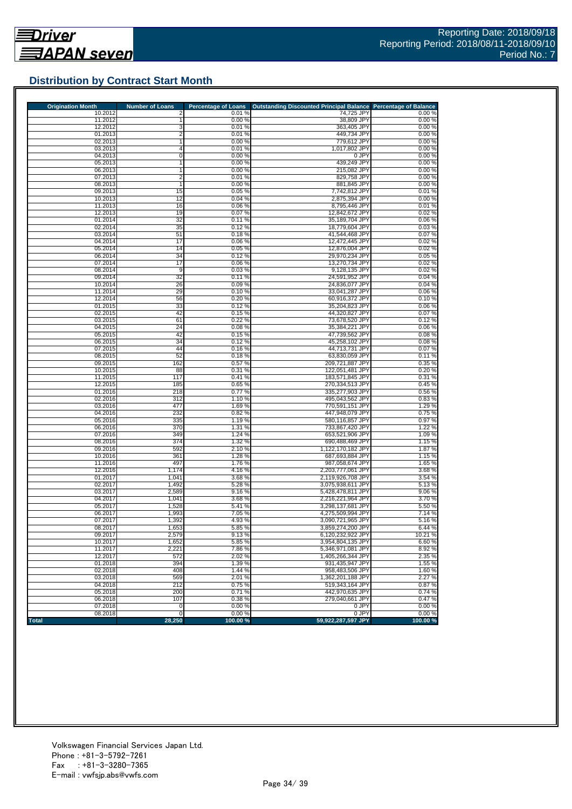

## **Distribution by Contract Start Month**

| <b>Origination Month</b> | <b>Number of Loans</b> | <b>Percentage of Loans</b> | Outstanding Discounted Principal Balance Percentage of Balance |                 |
|--------------------------|------------------------|----------------------------|----------------------------------------------------------------|-----------------|
| 10.2012                  | 2                      | 0.01%<br>0.00%             | 74,725 JPY                                                     | 0.00%           |
| 11.2012<br>12.2012       | 3                      | 0.01%                      | 38,809 JPY<br>363,405 JPY                                      | 0.00%<br>0.00%  |
| 01.2013                  | 2                      | 0.01%                      | 449,734 JPY                                                    | 0.00%           |
| 02.2013                  |                        | 0.00%                      | 779,612 JPY                                                    | 0.00%           |
| 03.2013                  | 4                      | 0.01%                      | 1,017,802 JPY                                                  | 0.00%           |
| 04.2013                  | 0                      | 0.00%                      | 0 JPY                                                          | 0.00%           |
| 05.2013                  |                        | 0.00%                      | 439,249 JPY                                                    | 0.00%           |
| 06.2013                  |                        | 0.00%                      | 215,082 JPY                                                    | 0.00%           |
| 07.2013                  | $\overline{2}$         | 0.01%                      | 829,758 JPY                                                    | 0.00%           |
| 08.2013                  | 1                      | 0.00%                      | 881,845 JPY                                                    | 0.00%           |
| 09.2013<br>10.2013       | 15<br>12               | 0.05%<br>0.04%             | 7,742,812 JPY<br>2,875,394 JPY                                 | 0.01%<br>0.00%  |
| 11.2013                  | 16                     | 0.06%                      | 8,795,446 JPY                                                  | 0.01%           |
| 12.2013                  | 19                     | 0.07%                      | 12,842,672 JPY                                                 | 0.02%           |
| 01.2014                  | 32                     | 0.11%                      | 35,189,704 JPY                                                 | 0.06%           |
| 02.2014                  | 35                     | 0.12%                      | 18,779,604 JPY                                                 | 0.03%           |
| 03.2014                  | 51                     | 0.18%                      | 41,544,468 JPY                                                 | 0.07%           |
| 04.2014                  | 17                     | 0.06%                      | 12,472,445 JPY                                                 | 0.02%           |
| 05.2014                  | 14                     | 0.05 %                     | 12,876,004 JPY                                                 | 0.02%           |
| 06.2014                  | 34                     | 0.12%                      | 29,970,234 JPY                                                 | 0.05%           |
| 07.2014<br>08.2014       | 17<br>9                | 0.06%<br>0.03%             | 13,270,734 JPY<br>9,128,135 JPY                                | 0.02%<br>0.02%  |
| 09.2014                  | 32                     | 0.11%                      | 24,591,952 JPY                                                 | 0.04%           |
| 10.2014                  | 26                     | 0.09%                      | 24,836,077 JPY                                                 | 0.04%           |
| 11.2014                  | 29                     | 0.10%                      | 33,041,287 JPY                                                 | 0.06%           |
| 12.2014                  | 56                     | 0.20%                      | 60,916,372 JPY                                                 | 0.10%           |
| 01.2015                  | 33                     | 0.12%                      | 35,204,823 JPY                                                 | 0.06%           |
| 02.2015                  | 42                     | 0.15%                      | 44,320,827 JPY                                                 | 0.07%           |
| 03.2015                  | 61                     | 0.22%                      | 73,678,520 JPY                                                 | 0.12%           |
| 04.2015                  | 24                     | 0.08%                      | 35,384,221 JPY                                                 | 0.06%           |
| 05.2015<br>06.2015       | 42<br>34               | 0.15%<br>0.12%             | 47,739,562 JPY                                                 | 0.08%<br>0.08%  |
| 07.2015                  | 44                     | 0.16%                      | 45,258,102 JPY<br>44,713,731 JPY                               | 0.07%           |
| 08.2015                  | 52                     | 0.18%                      | 63,830,059 JPY                                                 | 0.11%           |
| 09.2015                  | 162                    | 0.57%                      | 209,721,887 JPY                                                | 0.35%           |
| 10.2015                  | 88                     | 0.31%                      | 122,051,481 JPY                                                | 0.20%           |
| 11.2015                  | 117                    | 0.41%                      | 183,571,845 JPY                                                | 0.31%           |
| 12.2015                  | 185                    | 0.65 %                     | 270,334,513 JPY                                                | 0.45 %          |
| 01.2016                  | 218                    | 0.77%                      | 335,277,903 JPY                                                | 0.56%           |
| 02.2016                  | 312                    | 1.10 %                     | 495,043,562 JPY                                                | 0.83%           |
| 03.2016<br>04.2016       | 477<br>232             | 1.69%<br>0.82%             | 770,591,151 JPY<br>447,948,079 JPY                             | 1.29%<br>0.75%  |
| 05.2016                  | 335                    | 1.19%                      | 580,116,857 JPY                                                | 0.97%           |
| 06.2016                  | 370                    | 1.31 %                     | 733,867,420 JPY                                                | 1.22 %          |
| 07.2016                  | 349                    | 1.24 %                     | 653,521,906 JPY                                                | 1.09%           |
| 08.2016                  | 374                    | 1.32 %                     | 690,488,469 JPY                                                | 1.15 %          |
| 09.2016                  | 592                    | 2.10 %                     | 1,122,170,182 JPY                                              | 1.87 %          |
| 10.2016                  | 361                    | 1.28%                      | 687,693,884 JPY                                                | 1.15 %          |
| 11.2016                  | 497                    | 1.76 %                     | 987,058,674 JPY                                                | 1.65 %          |
| 12.2016                  | 1,174                  | 4.16%                      | 2,203,777,061 JPY                                              | 3.68%           |
| 01.2017<br>02.2017       | 1,041<br>1,492         | 3.68%<br>5.28 %            | 2,119,926,708 JPY<br>3,075,938,611 JPY                         | 3.54 %<br>5.13% |
| 03.2017                  | 2,589                  | 9.16%                      | 5,428,478,811 JPY                                              | 9.06%           |
| 04.2017                  | 1,041                  | 3.68 %                     | 2,216,221,964 JPY                                              | 3.70%           |
| 05.2017                  | 1,528                  | 5.41 %                     | 3,298,137,681 JPY                                              | 5.50 %          |
| 06.2017                  | 1,993                  | 7.05 %                     | 4,275,509,994 JPY                                              | 7.14 %          |
| 07.2017                  | 1,392                  | 4.93 %                     | 3,090,721,965 JPY                                              | 5.16%           |
| 08.2017                  | 1,653                  | 5.85 %                     | 3,859,274,200 JPY                                              | 6.44 %          |
| 09.2017                  | 2,579                  | 9.13%                      | 6,120,232,922 JPY                                              | 10.21 %         |
| 10.2017<br>11.2017       | 1,652<br>2,221         | 5.85%<br>7.86 %            | 3,954,804,135 JPY<br>5,346,971,081 JPY                         | 6.60%<br>8.92%  |
| 12.2017                  | 572                    | 2.02%                      | 1.405.266.344 JPY                                              | 2.35 %          |
| 01.2018                  | 394                    | 1.39 %                     | 931,435,947 JPY                                                | 1.55 %          |
| 02.2018                  | 408                    | 1.44 %                     | 958,483,506 JPY                                                | 1.60 %          |
| 03.2018                  | 569                    | 2.01%                      | 1,362,201,188 JPY                                              | 2.27 %          |
| 04.2018                  | 212                    | 0.75%                      | 519,343,164 JPY                                                | 0.87%           |
| 05.2018                  | 200                    | 0.71%                      | 442.970.635 JPY                                                | 0.74%           |
| 06.2018                  | 107                    | 0.38%                      | 279.040.661 JPY                                                | 0.47%           |
| 07.2018                  | 0                      | 0.00%                      | 0 JPY                                                          | 0.00%           |
| 08.2018                  | 0                      | 0.00%                      | 0 JPY                                                          | 0.00%           |
| <b>Total</b>             | 28,250                 | 100.00%                    | 59,922,287,597 JPY                                             | 100.00 %        |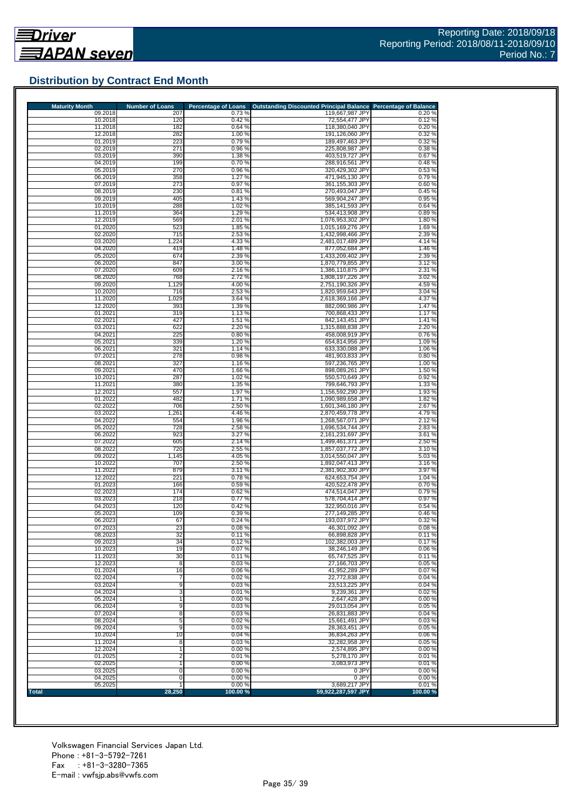## **Distribution by Contract End Month**

| <b>Maturity Month</b> | <b>Number of Loans</b> | <b>Percentage of Loans</b> | Outstanding Discounted Principal Balance Percentage of Balance |                 |
|-----------------------|------------------------|----------------------------|----------------------------------------------------------------|-----------------|
| 09.2018<br>10.2018    | 207<br>120             | 0.73%<br>0.42%             | 119,667,987 JPY<br>72,554,477 JPY                              | 0.20%<br>0.12%  |
| 11.2018               | 182                    | 0.64%                      | 118,380,040 JPY                                                | 0.20%           |
| 12.2018               | 282                    | 1.00 %                     | 191,126,060 JPY                                                | 0.32%           |
| 01.2019<br>02.2019    | 223<br>271             | 0.79%<br>0.96%             | 189,497,463 JPY<br>225,808,987 JPY                             | 0.32%<br>0.38%  |
| 03.2019               | 390                    | 1.38 %                     | 403,519,727 JPY                                                | 0.67%           |
| 04.2019               | 199                    | 0.70%                      | 288.916.561 JPY                                                | 0.48%           |
| 05.2019<br>06.2019    | 270<br>358             | 0.96 %<br>1.27 %           | 320.429.302 JPY<br>471,945,130 JPY                             | 0.53%<br>0.79%  |
| 07.2019               | 273                    | 0.97%                      | 361,155,303 JPY                                                | 0.60%           |
| 08.2019               | 230                    | 0.81%                      | 270,493,047 JPY                                                | 0.45%           |
| 09.2019<br>10.2019    | 405<br>288             | 1.43 %<br>1.02%            | 569,904,247 JPY<br>385,141,593 JPY                             | 0.95%<br>0.64%  |
| 11.2019               | 364                    | 1.29 %                     | 534.413.908 JPY                                                | 0.89%           |
| 12.2019               | 569                    | 2.01 %                     | 1,076,953,302 JPY                                              | 1.80%           |
| 01.2020<br>02.2020    | 523<br>715             | 1.85 %<br>2.53 %           | 1,015,169,276 JPY<br>1,432,998,466 JPY                         | 1.69%<br>2.39 % |
| 03.2020               | 1,224                  | 4.33 %                     | 2,481,017,489 JPY                                              | 4.14 %          |
| 04.2020               | 419                    | 1.48%                      | 877,052,684 JPY                                                | 1.46 %          |
| 05.2020<br>06.2020    | 674<br>847             | 2.39 %<br>3.00 %           | 1,433,209,402 JPY<br>1,870,779,855 JPY                         | 2.39 %<br>3.12% |
| 07.2020               | 609                    | 2.16%                      | 1,386,110,875 JPY                                              | 2.31 %          |
| 08.2020               | 768                    | 2.72%                      | 1,808,197,226 JPY                                              | 3.02%           |
| 09.2020<br>10.2020    | 1,129                  | 4.00%                      | 2,751,190,326 JPY                                              | 4.59%           |
| 11.2020               | 716<br>1,029           | 2.53 %<br>3.64 %           | 1,820,959,643 JPY<br>2,618,369,166 JPY                         | 3.04 %<br>4.37% |
| 12.2020               | 393                    | 1.39 %                     | 882,090,986 JPY                                                | 1.47%           |
| 01.2021<br>02.2021    | 319<br>427             | 1.13 %                     | 700,868,433 JPY<br>842,143,451 JPY                             | 1.17%           |
| 03.2021               | 622                    | 1.51 %<br>2.20%            | 1.315.888.838 JPY                                              | 1.41 %<br>2.20% |
| 04.2021               | 225                    | 0.80%                      | 458,008,919 JPY                                                | 0.76%           |
| 05.2021               | 339                    | 1.20 %                     | 654,814,956 JPY                                                | 1.09%           |
| 06.2021<br>07.2021    | 321<br>278             | 1.14 %<br>0.98%            | 633,330,088 JPY<br>481,903,833 JPY                             | 1.06 %<br>0.80% |
| 08.2021               | 327                    | 1.16 %                     | 597,236,765 JPY                                                | 1.00 %          |
| 09.2021<br>10.2021    | 470<br>287             | 1.66 %<br>1.02 %           | 898.089.261 JPY<br>550,570,649 JPY                             | 1.50%<br>0.92%  |
| 11.2021               | 380                    | 1.35 %                     | 799,646,793 JPY                                                | 1.33 %          |
| 12.2021               | 557                    | 1.97 %                     | 1,156,592,290 JPY                                              | 1.93%           |
| 01.2022<br>02.2022    | 482<br>706             | 1.71%<br>2.50 %            | 1,090,989,658 JPY<br>1,601,346,180 JPY                         | 1.82%<br>2.67%  |
| 03.2022               | 1,261                  | 4.46 %                     | 2,870,459,778 JPY                                              | 4.79%           |
| 04.2022               | 554                    | 1.96 %                     | 1,268,567,071 JPY                                              | 2.12%           |
| 05.2022<br>06.2022    | 728<br>923             | 2.58 %<br>3.27 %           | 1,696,534,744 JPY<br>2,161,231,697 JPY                         | 2.83%<br>3.61 % |
| 07.2022               | 605                    | 2.14 %                     | 1,499,461,371 JPY                                              | 2.50 %          |
| 08.2022               | 720                    | 2.55 %                     | 1,857,037,772 JPY                                              | 3.10%           |
| 09.2022<br>10.2022    | 1,145<br>707           | 4.05%<br>2.50 %            | 3,014,550,047 JPY<br>1,892,047,413 JPY                         | 5.03%<br>3.16%  |
| 11.2022               | 879                    | 3.11%                      | 2,381,902,300 JPY                                              | 3.97 %          |
| 12.2022               | 221                    | 0.78%                      | 624.653.754 JPY                                                | 1.04 %          |
| 01.2023<br>02.2023    | 166<br>174             | 0.59%<br>0.62%             | 420.522.478 JPY<br>474,514,047 JPY                             | 0.70%<br>0.79%  |
| 03.2023               | 218                    | 0.77%                      | 578,704,414 JPY                                                | 0.97 %          |
| 04.2023               | 120                    | 0.42%                      | 322,950,016 JPY                                                | 0.54 %          |
| 05.2023<br>06.2023    | 109<br>67              | 0.39%<br>0.24%             | 277,149,285 JPY<br>193,037,972 JPY                             | 0.46%<br>0.32%  |
| 07.2023               | 23                     | 0.08%                      | 46,301,092 JPY                                                 | 0.08%           |
| 08.2023               | 32                     | 0.11%                      | 66,898,828 JPY                                                 | 0.11%           |
| 09.2023<br>10.2023    | 34<br>19               | 0.12%<br>0.07%             | 102,382,003 JPY<br>38,246,149 JPY                              | 0.17%<br>0.06%  |
| 11.2023               | 30                     | 0.11%                      | 65.747.525 JPY                                                 | 0.11%           |
| 12.2023               | $\overline{8}$         | 0.03%                      | 27,166,703 JPY                                                 | 0.05%           |
| 01.2024<br>02.2024    | 16<br>7                | 0.06%<br>0.02%             | 41,952,289 JPY<br>22,772,838 JPY                               | 0.07%<br>0.04%  |
| 03.2024               | 9                      | 0.03%                      | 23.513.225 JPY                                                 | 0.04%           |
| 04.2024               | 3                      | 0.01%                      | 9,239,361 JPY                                                  | 0.02%           |
| 05.2024<br>06.2024    | 1<br>9                 | 0.00%<br>0.03%             | 2,647,428 JPY<br>29,013,054 JPY                                | 0.00%<br>0.05%  |
| 07.2024               | 8                      | 0.03%                      | 26,831,883 JPY                                                 | 0.04 %          |
| 08.2024               | 5                      | 0.02%                      | 15,661,491 JPY                                                 | 0.03%           |
| 09.2024               | 9<br>10                | 0.03%                      | 28,363,451 JPY                                                 | 0.05%           |
| 10.2024<br>11.2024    | 8                      | 0.04%<br>0.03%             | 36,834,263 JPY<br>32,282,958 JPY                               | 0.06%<br>0.05%  |
| 12.2024               | $\mathbf{1}$           | 0.00%                      | 2,574,895 JPY                                                  | 0.00%           |
| 01.2025               | 2                      | 0.01%                      | 5,278,170 JPY                                                  | 0.01%           |
| 02.2025<br>03.2025    | 0                      | 0.00%<br>0.00%             | 3,083,973 JPY<br>0 JPY                                         | 0.01%<br>0.00%  |
| 04.2025               | 0                      | 0.00%                      | 0 JPY                                                          | 0.00%           |
| 05.2025               |                        | 0.00%                      | 3,689,217 JPY                                                  | 0.01%           |
| Total                 | 28,250                 | 100.00%                    | 59,922,287,597 JPY                                             | 100.00 %        |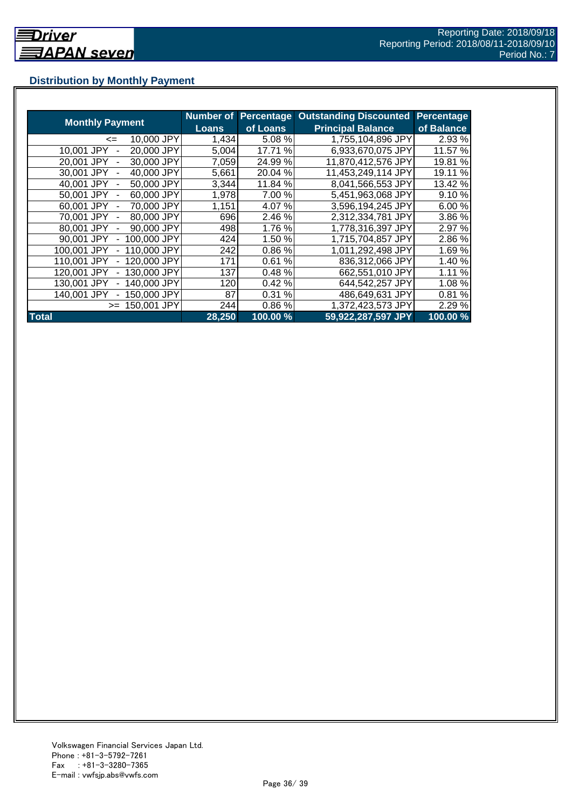## **Distribution by Monthly Payment**

|                            | <b>Number of</b> | <b>Percentage</b> | <b>Outstanding Discounted</b> | <b>Percentage</b> |
|----------------------------|------------------|-------------------|-------------------------------|-------------------|
| <b>Monthly Payment</b>     | Loans            | of Loans          | <b>Principal Balance</b>      | of Balance        |
| 10,000 JPY<br><=           | 1,434            | 5.08 %            | 1,755,104,896 JPY             | 2.93 %            |
| 20,000 JPY<br>10.001 JPY   | 5,004            | 17.71 %           | 6,933,670,075 JPY             | 11.57 %           |
| 30.000 JPY<br>20.001 JPY   | 7,059            | 24.99%            | 11,870,412,576 JPY            | 19.81 %           |
| 40,000 JPY<br>30.001 JPY   | 5,661            | 20.04 %           | 11,453,249,114 JPY            | 19.11 %           |
| 50,000 JPY<br>40.001 JPY   | 3,344            | 11.84 %           | 8,041,566,553 JPY             | 13.42 %           |
| 60,000 JPY<br>50.001 JPY   | 1,978            | 7.00 %            | 5,451,963,068 JPY             | 9.10 %            |
| 70,000 JPY<br>60.001 JPY   | 1,151            | 4.07%             | 3,596,194,245 JPY             | 6.00 %            |
| 80,000 JPY<br>70.001 JPY   | 696              | 2.46 %            | 2,312,334,781 JPY             | 3.86 %            |
| 80,001 JPY<br>90,000 JPY   | 498              | 1.76%             | 1,778,316,397 JPY             | 2.97 %            |
| 100,000 JPY<br>90.001 JPY  | 424              | 1.50%             | 1,715,704,857 JPY             | 2.86%             |
| 110,000 JPY<br>100,001 JPY | 242              | 0.86%             | 1,011,292,498 JPY             | 1.69%             |
| 120,000 JPY<br>110,001 JPY | 171              | 0.61%             | 836,312,066 JPY               | 1.40 %            |
| 130,000 JPY<br>120,001 JPY | 137              | 0.48%             | 662,551,010 JPY               | 1.11 %            |
| 140,000 JPY<br>130.001 JPY | 120              | 0.42%             | 644,542,257 JPY               | 1.08 %            |
| 150,000 JPY<br>140.001 JPY | 87               | 0.31%             | 486,649,631 JPY               | 0.81%             |
| 150,001 JPY<br>$>=$        | 244              | 0.86%             | 1,372,423,573 JPY             | 2.29 %            |
| <b>Total</b>               | 28,250           | 100.00 %          | 59,922,287,597 JPY            | 100.00%           |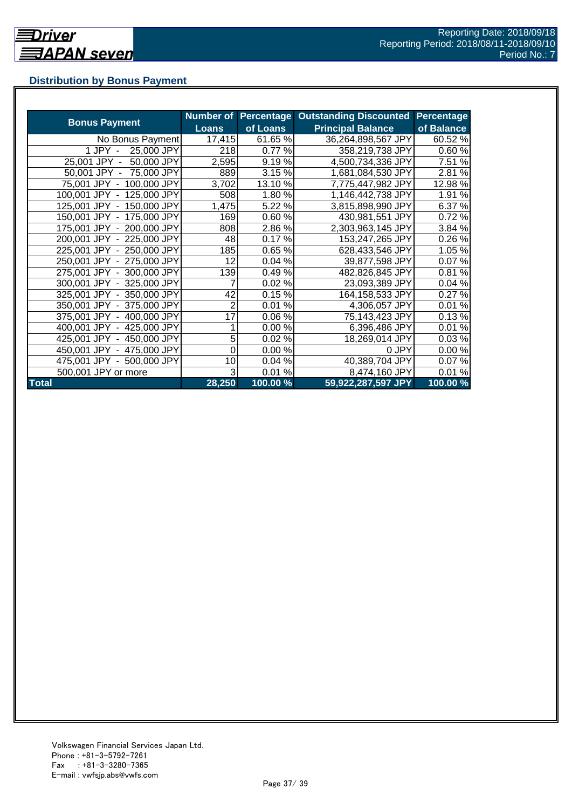## **Distribution by Bonus Payment**

| <b>Bonus Payment</b>       |              |          | Number of Percentage Outstanding Discounted | Percentage |
|----------------------------|--------------|----------|---------------------------------------------|------------|
|                            | <b>Loans</b> | of Loans | <b>Principal Balance</b>                    | of Balance |
| No Bonus Payment           | 17,415       | 61.65 %  | 36,264,898,567 JPY                          | 60.52 %    |
| 25,000 JPY<br>1 JPY -      | 218          | 0.77 %   | 358,219,738 JPY                             | 0.60%      |
| 25,001 JPY -<br>50,000 JPY | 2,595        | 9.19%    | 4,500,734,336 JPY                           | 7.51 %     |
| 50,001 JPY - 75,000 JPY    | 889          | 3.15 %   | 1,681,084,530 JPY                           | 2.81%      |
| 75,001 JPY - 100,000 JPY   | 3,702        | 13.10 %  | 7,775,447,982 JPY                           | 12.98%     |
| 100,001 JPY - 125,000 JPY  | 508          | 1.80%    | 1,146,442,738 JPY                           | 1.91 %     |
| 125,001 JPY - 150,000 JPY  | 1,475        | 5.22 %   | 3,815,898,990 JPY                           | 6.37%      |
| 150,001 JPY - 175,000 JPY  | 169          | 0.60%    | 430,981,551 JPY                             | 0.72%      |
| 175,001 JPY - 200,000 JPY  | 808          | 2.86%    | 2,303,963,145 JPY                           | 3.84 %     |
| 200,001 JPY - 225,000 JPY  | 48           | 0.17%    | 153,247,265 JPY                             | 0.26%      |
| 225,001 JPY - 250,000 JPY  | 185          | 0.65 %   | 628,433,546 JPY                             | 1.05%      |
| 250,001 JPY - 275,000 JPY  | 12           | 0.04%    | 39,877,598 JPY                              | 0.07%      |
| 275,001 JPY - 300,000 JPY  | 139          | 0.49%    | 482,826,845 JPY                             | 0.81%      |
| 300,001 JPY - 325,000 JPY  | 7            | 0.02%    | 23,093,389 JPY                              | 0.04%      |
| 325,001 JPY - 350,000 JPY  | 42           | 0.15%    | 164,158,533 JPY                             | 0.27%      |
| 350,001 JPY - 375,000 JPY  | 2            | 0.01%    | 4,306,057 JPY                               | 0.01%      |
| 375,001 JPY - 400,000 JPY  | 17           | 0.06%    | 75,143,423 JPY                              | 0.13%      |
| 400,001 JPY - 425,000 JPY  |              | 0.00%    | 6,396,486 JPY                               | 0.01%      |
| 425,001 JPY - 450,000 JPY  | 5            | 0.02%    | 18,269,014 JPY                              | 0.03%      |
| 450,001 JPY - 475,000 JPY  | 0            | 0.00%    | 0 JPY                                       | 0.00%      |
| 475,001 JPY - 500,000 JPY  | 10           | 0.04%    | 40,389,704 JPY                              | 0.07%      |
| 500,001 JPY or more        | 3            | 0.01%    | 8,474,160 JPY                               | 0.01%      |
| <b>Total</b>               | 28,250       | 100.00 % | 59,922,287,597 JPY                          | 100.00%    |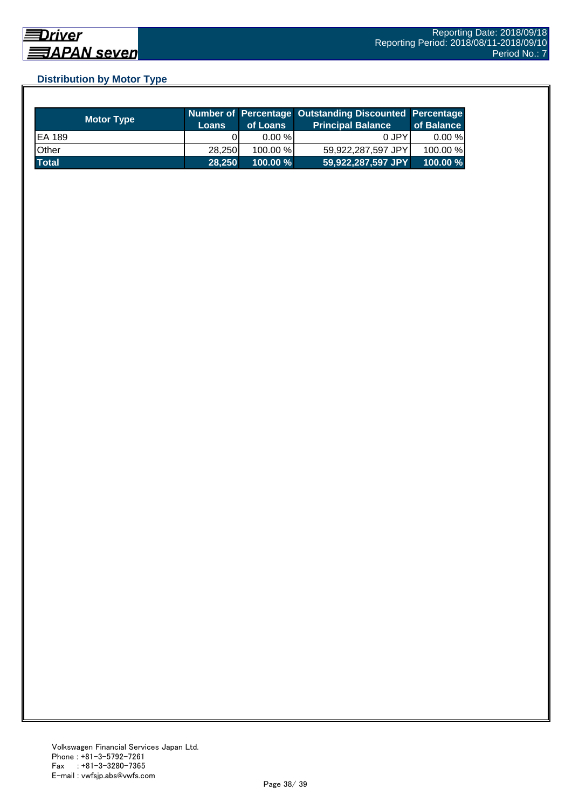## **Distribution by Motor Type**

| <b>Motor Type</b> | <b>Loans</b> | of Loans    | Number of Percentage Outstanding Discounted Percentage<br><b>Principal Balance</b> | of Balance |
|-------------------|--------------|-------------|------------------------------------------------------------------------------------|------------|
| EA 189            |              | $0.00 \%$   | 0 JPY                                                                              | $0.00 \%$  |
| Other             | 28.250       | 100.00 %    | 59,922,287,597 JPY                                                                 | 100.00 %   |
| <b>Total</b>      | 28.250       | $100.00 \%$ | 59,922,287,597 JPY                                                                 | $100.00\%$ |